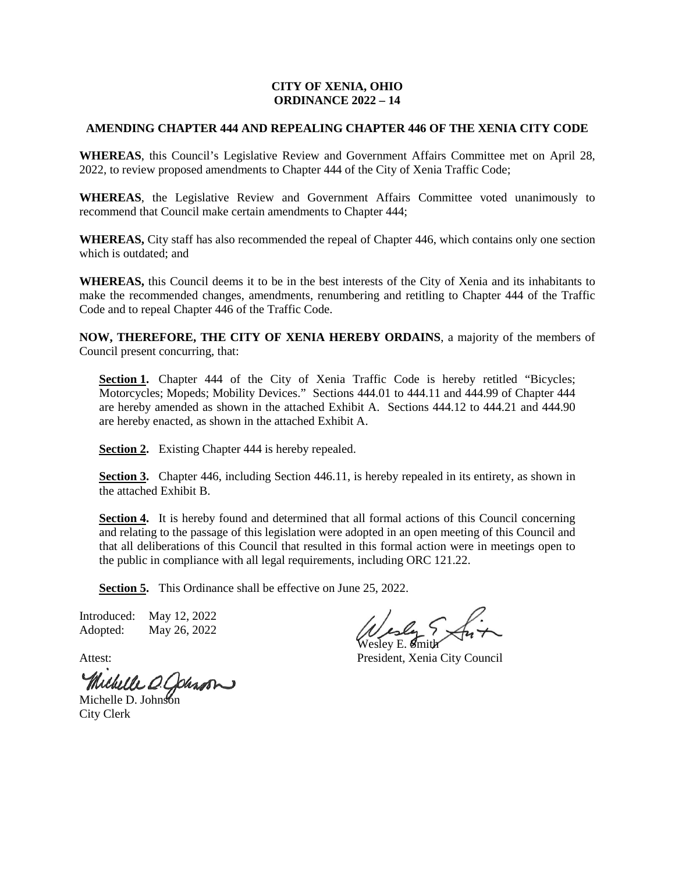#### **CITY OF XENIA, OHIO ORDINANCE 2022 – 14**

#### **AMENDING CHAPTER 444 AND REPEALING CHAPTER 446 OF THE XENIA CITY CODE**

**WHEREAS**, this Council's Legislative Review and Government Affairs Committee met on April 28, 2022, to review proposed amendments to Chapter 444 of the City of Xenia Traffic Code;

**WHEREAS**, the Legislative Review and Government Affairs Committee voted unanimously to recommend that Council make certain amendments to Chapter 444;

**WHEREAS,** City staff has also recommended the repeal of Chapter 446, which contains only one section which is outdated; and

**WHEREAS,** this Council deems it to be in the best interests of the City of Xenia and its inhabitants to make the recommended changes, amendments, renumbering and retitling to Chapter 444 of the Traffic Code and to repeal Chapter 446 of the Traffic Code.

**NOW, THEREFORE, THE CITY OF XENIA HEREBY ORDAINS**, a majority of the members of Council present concurring, that:

Section 1. Chapter 444 of the City of Xenia Traffic Code is hereby retitled "Bicycles; Motorcycles; Mopeds; Mobility Devices." Sections 444.01 to 444.11 and 444.99 of Chapter 444 are hereby amended as shown in the attached Exhibit A. Sections 444.12 to 444.21 and 444.90 are hereby enacted, as shown in the attached Exhibit A.

**Section 2.** Existing Chapter 444 is hereby repealed.

**Section 3.** Chapter 446, including Section 446.11, is hereby repealed in its entirety, as shown in the attached Exhibit B.

**Section 4.** It is hereby found and determined that all formal actions of this Council concerning and relating to the passage of this legislation were adopted in an open meeting of this Council and that all deliberations of this Council that resulted in this formal action were in meetings open to the public in compliance with all legal requirements, including ORC 121.22.

**Section 5.** This Ordinance shall be effective on June 25, 2022.

Introduced: May 12, 2022 Adopted: May 26, 2022

Michelle O. Johnson

Wesley E. Smith

Attest: President, Xenia City Council

City Clerk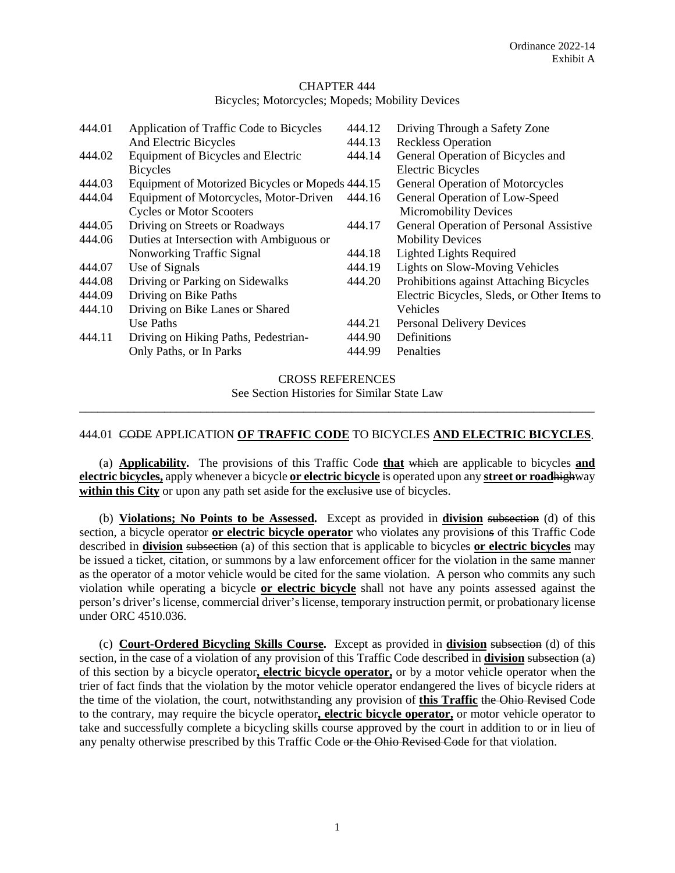#### CHAPTER 444 Bicycles; Motorcycles; Mopeds; Mobility Devices

| 444.01 | Application of Traffic Code to Bicycles          | 444.12 | Driving Through a Safety Zone               |
|--------|--------------------------------------------------|--------|---------------------------------------------|
|        | And Electric Bicycles                            | 444.13 | <b>Reckless Operation</b>                   |
| 444.02 | Equipment of Bicycles and Electric               | 444.14 | General Operation of Bicycles and           |
|        | <b>Bicycles</b>                                  |        | <b>Electric Bicycles</b>                    |
| 444.03 | Equipment of Motorized Bicycles or Mopeds 444.15 |        | General Operation of Motorcycles            |
| 444.04 | Equipment of Motorcycles, Motor-Driven           | 444.16 | General Operation of Low-Speed              |
|        | <b>Cycles or Motor Scooters</b>                  |        | <b>Micromobility Devices</b>                |
| 444.05 | Driving on Streets or Roadways                   | 444.17 | General Operation of Personal Assistive     |
| 444.06 | Duties at Intersection with Ambiguous or         |        | <b>Mobility Devices</b>                     |
|        | Nonworking Traffic Signal                        | 444.18 | <b>Lighted Lights Required</b>              |
| 444.07 | Use of Signals                                   | 444.19 | Lights on Slow-Moving Vehicles              |
| 444.08 | Driving or Parking on Sidewalks                  | 444.20 | Prohibitions against Attaching Bicycles     |
| 444.09 | Driving on Bike Paths                            |        | Electric Bicycles, Sleds, or Other Items to |
| 444.10 | Driving on Bike Lanes or Shared                  |        | Vehicles                                    |
|        | Use Paths                                        | 444.21 | <b>Personal Delivery Devices</b>            |
| 444.11 | Driving on Hiking Paths, Pedestrian-             | 444.90 | Definitions                                 |
|        | Only Paths, or In Parks                          | 444.99 | Penalties                                   |
|        |                                                  |        |                                             |

CROSS REFERENCES See Section Histories for Similar State Law

## 444.01 CODE APPLICATION **OF TRAFFIC CODE** TO BICYCLES **AND ELECTRIC BICYCLES**.

\_\_\_\_\_\_\_\_\_\_\_\_\_\_\_\_\_\_\_\_\_\_\_\_\_\_\_\_\_\_\_\_\_\_\_\_\_\_\_\_\_\_\_\_\_\_\_\_\_\_\_\_\_\_\_\_\_\_\_\_\_\_\_\_\_\_\_\_\_\_\_\_\_\_\_\_\_\_\_\_\_\_\_\_\_

(a) **Applicability.** The provisions of this Traffic Code **that** which are applicable to bicycles **and electric bicycles,** apply whenever a bicycle **or electric bicycle** is operated upon any **street or road**highway **within this City** or upon any path set aside for the exclusive use of bicycles.

(b) **Violations; No Points to be Assessed.** Except as provided in **division** subsection (d) of this section, a bicycle operator **or electric bicycle operator** who violates any provisions of this Traffic Code described in **division** subsection (a) of this section that is applicable to bicycles **or electric bicycles** may be issued a ticket, citation, or summons by a law enforcement officer for the violation in the same manner as the operator of a motor vehicle would be cited for the same violation. A person who commits any such violation while operating a bicycle **or electric bicycle** shall not have any points assessed against the person's driver's license, commercial driver's license, temporary instruction permit, or probationary license under ORC 4510.036.

(c) **Court-Ordered Bicycling Skills Course.** Except as provided in **division** subsection (d) of this section, in the case of a violation of any provision of this Traffic Code described in **division** subsection (a) of this section by a bicycle operator**, electric bicycle operator,** or by a motor vehicle operator when the trier of fact finds that the violation by the motor vehicle operator endangered the lives of bicycle riders at the time of the violation, the court, notwithstanding any provision of **this Traffic** the Ohio Revised Code to the contrary, may require the bicycle operator**, electric bicycle operator,** or motor vehicle operator to take and successfully complete a bicycling skills course approved by the court in addition to or in lieu of any penalty otherwise prescribed by this Traffic Code or the Ohio Revised Code for that violation.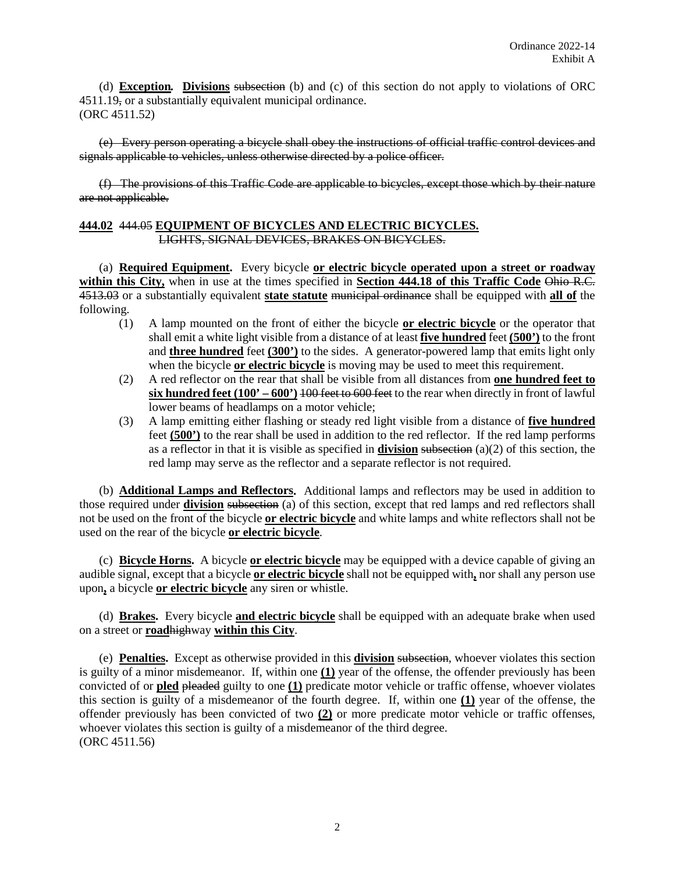(d) **Exception***.* **Divisions** subsection (b) and (c) of this section do not apply to violations of ORC 4511.19, or a substantially equivalent municipal ordinance. (ORC 4511.52)

(e) Every person operating a bicycle shall obey the instructions of official traffic control devices and signals applicable to vehicles, unless otherwise directed by a police officer.

(f) The provisions of this Traffic Code are applicable to bicycles, except those which by their nature are not applicable.

## **444.02** 444.05 **EQUIPMENT OF BICYCLES AND ELECTRIC BICYCLES.** LIGHTS, SIGNAL DEVICES, BRAKES ON BICYCLES.

(a) **Required Equipment.** Every bicycle **or electric bicycle operated upon a street or roadway within this City,** when in use at the times specified in **Section 444.18 of this Traffic Code** Ohio R.C. 4513.03 or a substantially equivalent **state statute** municipal ordinance shall be equipped with **all of** the following.

- (1) A lamp mounted on the front of either the bicycle **or electric bicycle** or the operator that shall emit a white light visible from a distance of at least **five hundred** feet **(500')** to the front and **three hundred** feet **(300')** to the sides. A generator-powered lamp that emits light only when the bicycle **or electric bicycle** is moving may be used to meet this requirement.
- (2) A red reflector on the rear that shall be visible from all distances from **one hundred feet to six hundred feet (100' – 600')** 100 feet to 600 feet to the rear when directly in front of lawful lower beams of headlamps on a motor vehicle;
- (3) A lamp emitting either flashing or steady red light visible from a distance of **five hundred** feet **(500')** to the rear shall be used in addition to the red reflector. If the red lamp performs as a reflector in that it is visible as specified in **division** subsection (a)(2) of this section, the red lamp may serve as the reflector and a separate reflector is not required.

(b) **Additional Lamps and Reflectors.** Additional lamps and reflectors may be used in addition to those required under **division** subsection (a) of this section, except that red lamps and red reflectors shall not be used on the front of the bicycle **or electric bicycle** and white lamps and white reflectors shall not be used on the rear of the bicycle **or electric bicycle**.

(c) **Bicycle Horns.** A bicycle **or electric bicycle** may be equipped with a device capable of giving an audible signal, except that a bicycle **or electric bicycle** shall not be equipped with**,** nor shall any person use upon**,** a bicycle **or electric bicycle** any siren or whistle.

(d) **Brakes.** Every bicycle **and electric bicycle** shall be equipped with an adequate brake when used on a street or **road**highway **within this City**.

(e) **Penalties.** Except as otherwise provided in this **division** subsection, whoever violates this section is guilty of a minor misdemeanor. If, within one **(1)** year of the offense, the offender previously has been convicted of or **pled** pleaded guilty to one **(1)** predicate motor vehicle or traffic offense, whoever violates this section is guilty of a misdemeanor of the fourth degree. If, within one **(1)** year of the offense, the offender previously has been convicted of two **(2)** or more predicate motor vehicle or traffic offenses, whoever violates this section is guilty of a misdemeanor of the third degree. (ORC 4511.56)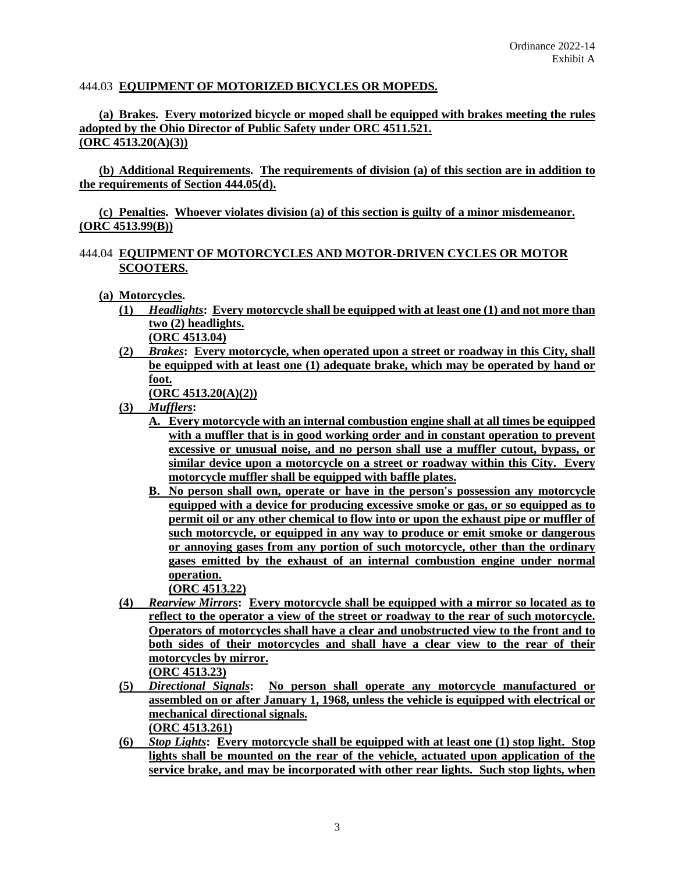#### 444.03 **EQUIPMENT OF MOTORIZED BICYCLES OR MOPEDS.**

## **(a) Brakes. Every motorized bicycle or moped shall be equipped with brakes meeting the rules adopted by the Ohio Director of Public Safety under ORC 4511.521. (ORC 4513.20(A)(3))**

**(b) Additional Requirements. The requirements of division (a) of this section are in addition to the requirements of Section 444.05(d).**

**(c) Penalties. Whoever violates division (a) of this section is guilty of a minor misdemeanor. (ORC 4513.99(B))**

## 444.04 **EQUIPMENT OF MOTORCYCLES AND MOTOR-DRIVEN CYCLES OR MOTOR SCOOTERS.**

- **(a) Motorcycles.** 
	- **(1)** *Headlights***: Every motorcycle shall be equipped with at least one (1) and not more than two (2) headlights. (ORC 4513.04)**
	- **(2)** *Brakes***: Every motorcycle, when operated upon a street or roadway in this City, shall be equipped with at least one (1) adequate brake, which may be operated by hand or foot. (ORC 4513.20(A)(2))**
	- **(3)** *Mufflers***:** 
		- **A. Every motorcycle with an internal combustion engine shall at all times be equipped with a muffler that is in good working order and in constant operation to prevent excessive or unusual noise, and no person shall use a muffler cutout, bypass, or similar device upon a motorcycle on a street or roadway within this City. Every motorcycle muffler shall be equipped with baffle plates.**
		- **B. No person shall own, operate or have in the person's possession any motorcycle equipped with a device for producing excessive smoke or gas, or so equipped as to permit oil or any other chemical to flow into or upon the exhaust pipe or muffler of such motorcycle, or equipped in any way to produce or emit smoke or dangerous or annoying gases from any portion of such motorcycle, other than the ordinary gases emitted by the exhaust of an internal combustion engine under normal operation.**

**(ORC 4513.22)**

- **(4)** *Rearview Mirrors***: Every motorcycle shall be equipped with a mirror so located as to reflect to the operator a view of the street or roadway to the rear of such motorcycle. Operators of motorcycles shall have a clear and unobstructed view to the front and to both sides of their motorcycles and shall have a clear view to the rear of their motorcycles by mirror. (ORC 4513.23)**
- **(5)** *Directional Signals***:****No person shall operate any motorcycle manufactured or assembled on or after January 1, 1968, unless the vehicle is equipped with electrical or mechanical directional signals.**
	- **(ORC 4513.261)**
- **(6)** *Stop Lights***: Every motorcycle shall be equipped with at least one (1) stop light. Stop lights shall be mounted on the rear of the vehicle, actuated upon application of the service brake, and may be incorporated with other rear lights. Such stop lights, when**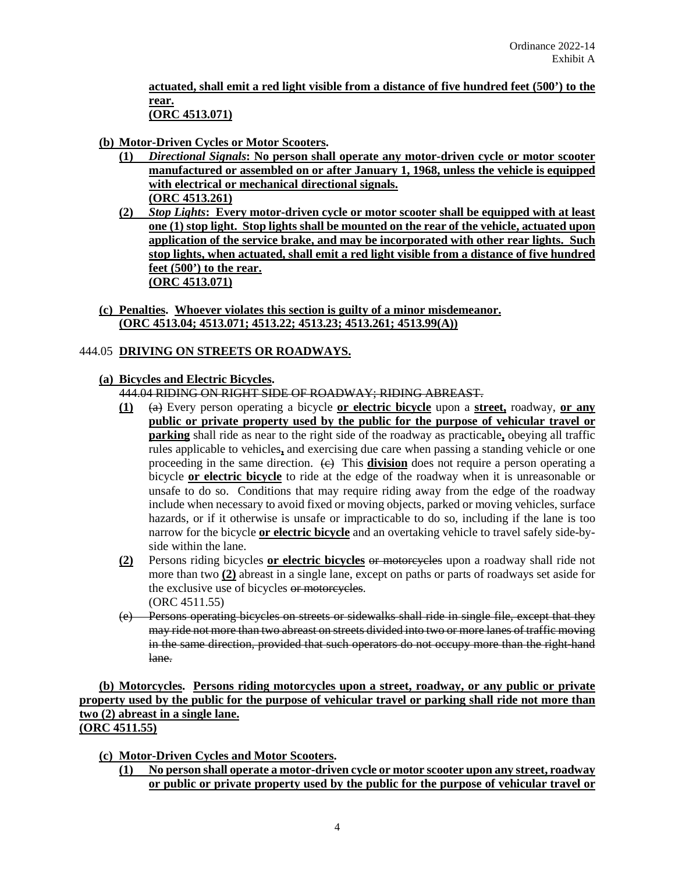**actuated, shall emit a red light visible from a distance of five hundred feet (500') to the rear. (ORC 4513.071)**

## **(b) Motor-Driven Cycles or Motor Scooters.**

- **(1)** *Directional Signals***: No person shall operate any motor-driven cycle or motor scooter manufactured or assembled on or after January 1, 1968, unless the vehicle is equipped with electrical or mechanical directional signals. (ORC 4513.261)**
- **(2)** *Stop Lights***: Every motor-driven cycle or motor scooter shall be equipped with at least one (1) stop light. Stop lights shall be mounted on the rear of the vehicle, actuated upon application of the service brake, and may be incorporated with other rear lights. Such stop lights, when actuated, shall emit a red light visible from a distance of five hundred feet (500') to the rear. (ORC 4513.071)**
- **(c) Penalties. Whoever violates this section is guilty of a minor misdemeanor. (ORC 4513.04; 4513.071; 4513.22; 4513.23; 4513.261; 4513.99(A))**

## 444.05 **DRIVING ON STREETS OR ROADWAYS.**

#### **(a) Bicycles and Electric Bicycles.**

444.04 RIDING ON RIGHT SIDE OF ROADWAY; RIDING ABREAST.

- **(1)** (a) Every person operating a bicycle **or electric bicycle** upon a **street,** roadway, **or any public or private property used by the public for the purpose of vehicular travel or parking** shall ride as near to the right side of the roadway as practicable**,** obeying all traffic rules applicable to vehicles**,** and exercising due care when passing a standing vehicle or one proceeding in the same direction.  $\left\langle \Theta \right\rangle$  This **division** does not require a person operating a bicycle **or electric bicycle** to ride at the edge of the roadway when it is unreasonable or unsafe to do so. Conditions that may require riding away from the edge of the roadway include when necessary to avoid fixed or moving objects, parked or moving vehicles, surface hazards, or if it otherwise is unsafe or impracticable to do so, including if the lane is too narrow for the bicycle **or electric bicycle** and an overtaking vehicle to travel safely side-byside within the lane.
- **(2)** Persons riding bicycles **or electric bicycles** or motorcycles upon a roadway shall ride not more than two **(2)** abreast in a single lane, except on paths or parts of roadways set aside for the exclusive use of bicycles or motorcycles. (ORC 4511.55)
- (e) Persons operating bicycles on streets or sidewalks shall ride in single file, except that they may ride not more than two abreast on streets divided into two or more lanes of traffic moving in the same direction, provided that such operators do not occupy more than the right-hand lane.

**(b) Motorcycles. Persons riding motorcycles upon a street, roadway, or any public or private property used by the public for the purpose of vehicular travel or parking shall ride not more than two (2) abreast in a single lane. (ORC 4511.55)**

- **(c) Motor-Driven Cycles and Motor Scooters.**
	- **(1) No person shall operate a motor-driven cycle or motor scooter upon any street, roadway or public or private property used by the public for the purpose of vehicular travel or**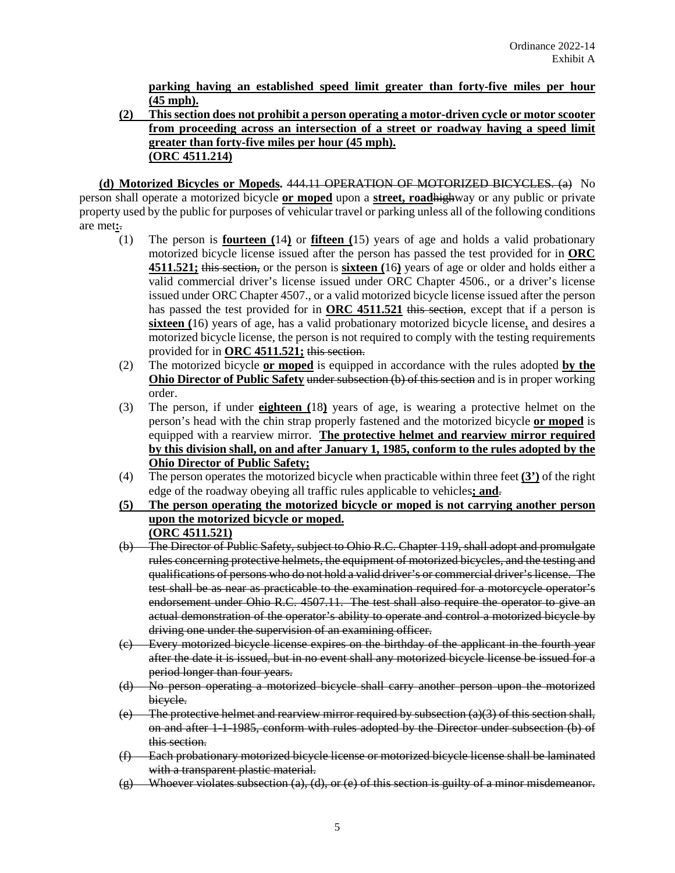**parking having an established speed limit greater than forty-five miles per hour (45 mph).**

## **(2) This section does not prohibit a person operating a motor-driven cycle or motor scooter from proceeding across an intersection of a street or roadway having a speed limit greater than forty-five miles per hour (45 mph). (ORC 4511.214)**

**(d) Motorized Bicycles or Mopeds.** 444.11 OPERATION OF MOTORIZED BICYCLES. (a) No person shall operate a motorized bicycle **or moped** upon a **street, road**highway or any public or private property used by the public for purposes of vehicular travel or parking unless all of the following conditions are met**:**.

- (1) The person is **fourteen (**14**)** or **fifteen (**15) years of age and holds a valid probationary motorized bicycle license issued after the person has passed the test provided for in **ORC 4511.521;** this section, or the person is **sixteen (**16**)** years of age or older and holds either a valid commercial driver's license issued under ORC Chapter 4506., or a driver's license issued under ORC Chapter 4507., or a valid motorized bicycle license issued after the person has passed the test provided for in **ORC 4511.521** this section, except that if a person is **sixteen (**16) years of age, has a valid probationary motorized bicycle license, and desires a motorized bicycle license, the person is not required to comply with the testing requirements provided for in **ORC 4511.521;** this section.
- (2) The motorized bicycle **or moped** is equipped in accordance with the rules adopted **by the Ohio Director of Public Safety under subsection (b) of this section and is in proper working** order.
- (3) The person, if under **eighteen (**18**)** years of age, is wearing a protective helmet on the person's head with the chin strap properly fastened and the motorized bicycle **or moped** is equipped with a rearview mirror. **The protective helmet and rearview mirror required by this division shall, on and after January 1, 1985, conform to the rules adopted by the Ohio Director of Public Safety;**
- (4) The person operates the motorized bicycle when practicable within three feet **(3')** of the right edge of the roadway obeying all traffic rules applicable to vehicles**; and**.

## **(5) The person operating the motorized bicycle or moped is not carrying another person upon the motorized bicycle or moped. (ORC 4511.521)**

- (b) The Director of Public Safety, subject to Ohio R.C. Chapter 119, shall adopt and promulgate rules concerning protective helmets, the equipment of motorized bicycles, and the testing and qualifications of persons who do not hold a valid driver's or commercial driver's license. The test shall be as near as practicable to the examination required for a motorcycle operator's endorsement under Ohio R.C. 4507.11. The test shall also require the operator to give an actual demonstration of the operator's ability to operate and control a motorized bicycle by driving one under the supervision of an examining officer.
- (c) Every motorized bicycle license expires on the birthday of the applicant in the fourth year after the date it is issued, but in no event shall any motorized bicycle license be issued for a period longer than four years.
- No person operating a motorized bicycle shall carry another person upon the motorized bicycle.
- $(e)$  The protective helmet and rearview mirror required by subsection  $(a)(3)$  of this section shall, on and after 1-1-1985, conform with rules adopted by the Director under subsection (b) of this section.
- (f) Each probationary motorized bicycle license or motorized bicycle license shall be laminated with a transparent plastic material.
- $\left(\frac{g}{g}\right)$  Whoever violates subsection (a), (d), or (e) of this section is guilty of a minor misdemeanor.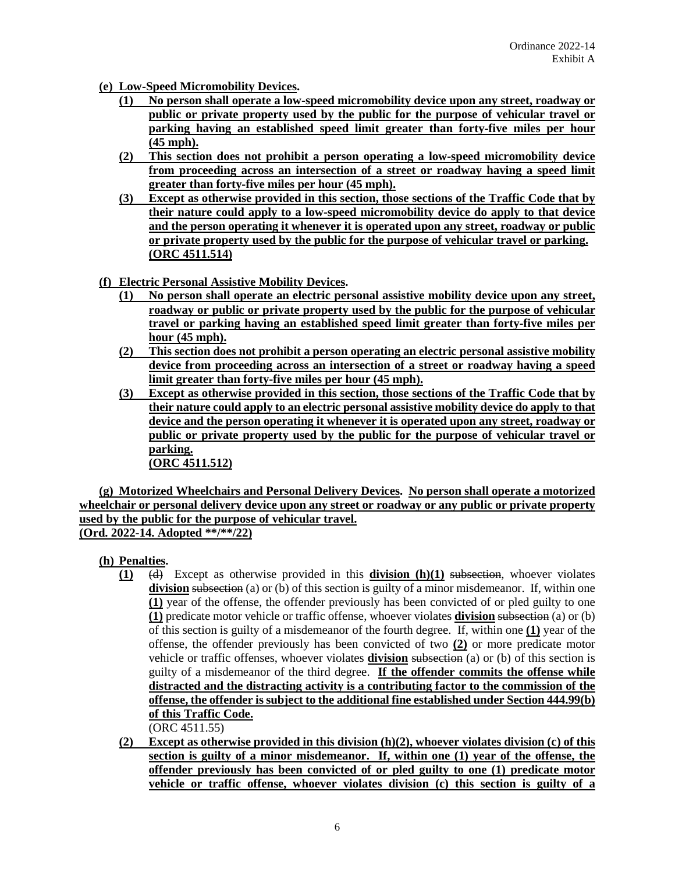- **(e) Low-Speed Micromobility Devices.**
	- **(1) No person shall operate a low-speed micromobility device upon any street, roadway or public or private property used by the public for the purpose of vehicular travel or parking having an established speed limit greater than forty-five miles per hour (45 mph).**
	- **(2) This section does not prohibit a person operating a low-speed micromobility device from proceeding across an intersection of a street or roadway having a speed limit greater than forty-five miles per hour (45 mph).**
	- **(3) Except as otherwise provided in this section, those sections of the Traffic Code that by their nature could apply to a low-speed micromobility device do apply to that device and the person operating it whenever it is operated upon any street, roadway or public or private property used by the public for the purpose of vehicular travel or parking. (ORC 4511.514)**
- **(f) Electric Personal Assistive Mobility Devices.**
	- **(1) No person shall operate an electric personal assistive mobility device upon any street, roadway or public or private property used by the public for the purpose of vehicular travel or parking having an established speed limit greater than forty-five miles per hour (45 mph).**
	- **(2) This section does not prohibit a person operating an electric personal assistive mobility device from proceeding across an intersection of a street or roadway having a speed limit greater than forty-five miles per hour (45 mph).**
	- **(3) Except as otherwise provided in this section, those sections of the Traffic Code that by their nature could apply to an electric personal assistive mobility device do apply to that device and the person operating it whenever it is operated upon any street, roadway or public or private property used by the public for the purpose of vehicular travel or parking. (ORC 4511.512)**

**(g) Motorized Wheelchairs and Personal Delivery Devices. No person shall operate a motorized wheelchair or personal delivery device upon any street or roadway or any public or private property used by the public for the purpose of vehicular travel. (Ord. 2022-14. Adopted \*\*/\*\*/22)**

**(h) Penalties.**

- **(1)** (d) Except as otherwise provided in this **division (h)(1)** subsection, whoever violates **division** subsection (a) or (b) of this section is guilty of a minor misdemeanor. If, within one **(1)** year of the offense, the offender previously has been convicted of or pled guilty to one **(1)** predicate motor vehicle or traffic offense, whoever violates **division** subsection (a) or (b) of this section is guilty of a misdemeanor of the fourth degree. If, within one **(1)** year of the offense, the offender previously has been convicted of two **(2)** or more predicate motor vehicle or traffic offenses, whoever violates **division** subsection (a) or (b) of this section is guilty of a misdemeanor of the third degree. **If the offender commits the offense while distracted and the distracting activity is a contributing factor to the commission of the offense, the offender is subject to the additional fine established under Section 444.99(b) of this Traffic Code.** (ORC 4511.55)
- **(2) Except as otherwise provided in this division (h)(2), whoever violates division (c) of this section is guilty of a minor misdemeanor. If, within one (1) year of the offense, the offender previously has been convicted of or pled guilty to one (1) predicate motor vehicle or traffic offense, whoever violates division (c) this section is guilty of a**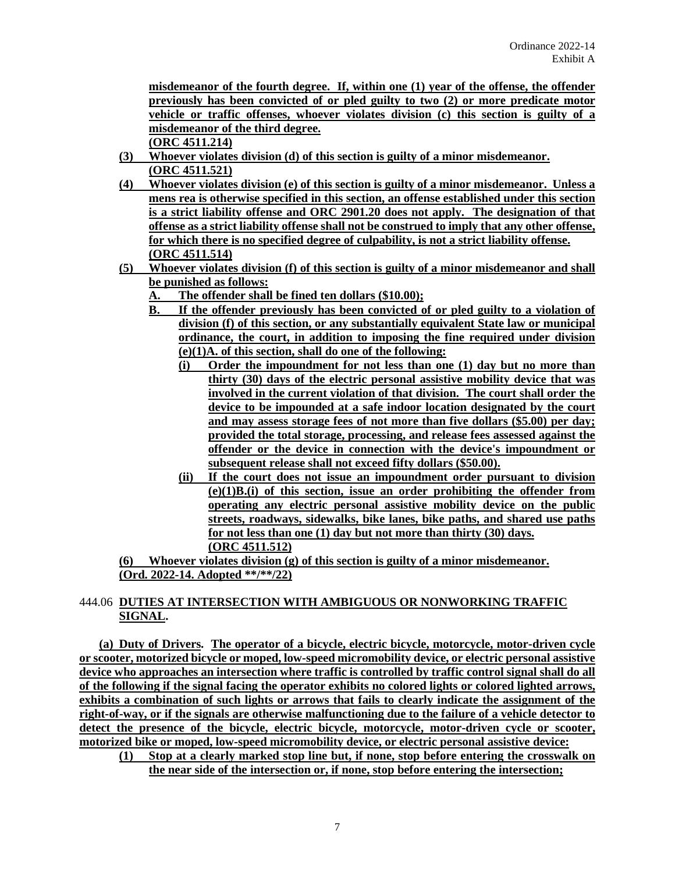**misdemeanor of the fourth degree. If, within one (1) year of the offense, the offender previously has been convicted of or pled guilty to two (2) or more predicate motor vehicle or traffic offenses, whoever violates division (c) this section is guilty of a misdemeanor of the third degree.**

**(ORC 4511.214)**

- **(3) Whoever violates division (d) of this section is guilty of a minor misdemeanor. (ORC 4511.521)**
- **(4) Whoever violates division (e) of this section is guilty of a minor misdemeanor. Unless a mens rea is otherwise specified in this section, an offense established under this section is a strict liability offense and ORC 2901.20 does not apply. The designation of that offense as a strict liability offense shall not be construed to imply that any other offense, for which there is no specified degree of culpability, is not a strict liability offense. (ORC 4511.514)**
- **(5) Whoever violates division (f) of this section is guilty of a minor misdemeanor and shall be punished as follows:**
	- **A. The offender shall be fined ten dollars (\$10.00);**
	- **B. If the offender previously has been convicted of or pled guilty to a violation of division (f) of this section, or any substantially equivalent State law or municipal ordinance, the court, in addition to imposing the fine required under division (e)(1)A. of this section, shall do one of the following:**
		- **(i) Order the impoundment for not less than one (1) day but no more than thirty (30) days of the electric personal assistive mobility device that was involved in the current violation of that division. The court shall order the device to be impounded at a safe indoor location designated by the court and may assess storage fees of not more than five dollars (\$5.00) per day; provided the total storage, processing, and release fees assessed against the offender or the device in connection with the device's impoundment or subsequent release shall not exceed fifty dollars (\$50.00).**
		- **(ii) If the court does not issue an impoundment order pursuant to division (e)(1)B.(i) of this section, issue an order prohibiting the offender from operating any electric personal assistive mobility device on the public streets, roadways, sidewalks, bike lanes, bike paths, and shared use paths for not less than one (1) day but not more than thirty (30) days. (ORC 4511.512)**

**(6) Whoever violates division (g) of this section is guilty of a minor misdemeanor. (Ord. 2022-14. Adopted \*\*/\*\*/22)**

# 444.06 **DUTIES AT INTERSECTION WITH AMBIGUOUS OR NONWORKING TRAFFIC SIGNAL.**

**(a) Duty of Drivers. The operator of a bicycle, electric bicycle, motorcycle, motor-driven cycle or scooter, motorized bicycle or moped, low-speed micromobility device, or electric personal assistive device who approaches an intersection where traffic is controlled by traffic control signal shall do all of the following if the signal facing the operator exhibits no colored lights or colored lighted arrows, exhibits a combination of such lights or arrows that fails to clearly indicate the assignment of the right-of-way, or if the signals are otherwise malfunctioning due to the failure of a vehicle detector to detect the presence of the bicycle, electric bicycle, motorcycle, motor-driven cycle or scooter, motorized bike or moped, low-speed micromobility device, or electric personal assistive device:**

**(1) Stop at a clearly marked stop line but, if none, stop before entering the crosswalk on the near side of the intersection or, if none, stop before entering the intersection;**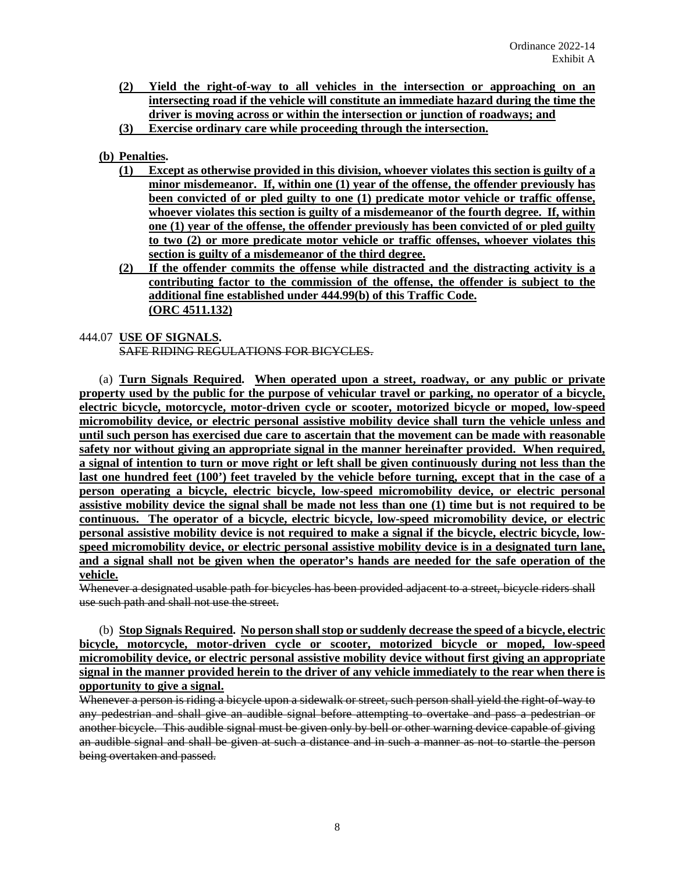- **(2) Yield the right-of-way to all vehicles in the intersection or approaching on an intersecting road if the vehicle will constitute an immediate hazard during the time the driver is moving across or within the intersection or junction of roadways; and**
- **(3) Exercise ordinary care while proceeding through the intersection.**

## **(b) Penalties.**

- **(1) Except as otherwise provided in this division, whoever violates this section is guilty of a minor misdemeanor. If, within one (1) year of the offense, the offender previously has been convicted of or pled guilty to one (1) predicate motor vehicle or traffic offense, whoever violates this section is guilty of a misdemeanor of the fourth degree. If, within one (1) year of the offense, the offender previously has been convicted of or pled guilty to two (2) or more predicate motor vehicle or traffic offenses, whoever violates this section is guilty of a misdemeanor of the third degree.**
- **(2) If the offender commits the offense while distracted and the distracting activity is a contributing factor to the commission of the offense, the offender is subject to the additional fine established under 444.99(b) of this Traffic Code. (ORC 4511.132)**

## 444.07 **USE OF SIGNALS.**

SAFE RIDING REGULATIONS FOR BICYCLES.

(a) **Turn Signals Required. When operated upon a street, roadway, or any public or private property used by the public for the purpose of vehicular travel or parking, no operator of a bicycle, electric bicycle, motorcycle, motor-driven cycle or scooter, motorized bicycle or moped, low-speed micromobility device, or electric personal assistive mobility device shall turn the vehicle unless and until such person has exercised due care to ascertain that the movement can be made with reasonable safety nor without giving an appropriate signal in the manner hereinafter provided. When required, a signal of intention to turn or move right or left shall be given continuously during not less than the last one hundred feet (100') feet traveled by the vehicle before turning, except that in the case of a person operating a bicycle, electric bicycle, low-speed micromobility device, or electric personal assistive mobility device the signal shall be made not less than one (1) time but is not required to be continuous. The operator of a bicycle, electric bicycle, low-speed micromobility device, or electric personal assistive mobility device is not required to make a signal if the bicycle, electric bicycle, lowspeed micromobility device, or electric personal assistive mobility device is in a designated turn lane, and a signal shall not be given when the operator's hands are needed for the safe operation of the vehicle.**

Whenever a designated usable path for bicycles has been provided adjacent to a street, bicycle riders shall use such path and shall not use the street.

(b) **Stop Signals Required. No person shall stop or suddenly decrease the speed of a bicycle, electric bicycle, motorcycle, motor-driven cycle or scooter, motorized bicycle or moped, low-speed micromobility device, or electric personal assistive mobility device without first giving an appropriate signal in the manner provided herein to the driver of any vehicle immediately to the rear when there is opportunity to give a signal.**

Whenever a person is riding a bicycle upon a sidewalk or street, such person shall yield the right-of-way to any pedestrian and shall give an audible signal before attempting to overtake and pass a pedestrian or another bicycle. This audible signal must be given only by bell or other warning device capable of giving an audible signal and shall be given at such a distance and in such a manner as not to startle the person being overtaken and passed.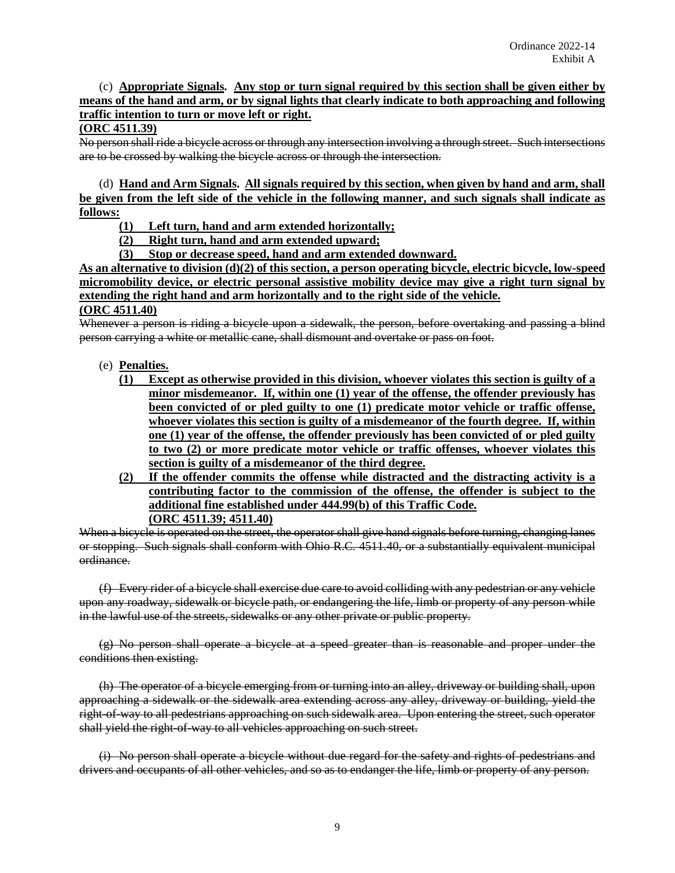## (c) **Appropriate Signals. Any stop or turn signal required by this section shall be given either by means of the hand and arm, or by signal lights that clearly indicate to both approaching and following traffic intention to turn or move left or right.**

### **(ORC 4511.39)**

No person shall ride a bicycle across or through any intersection involving a through street. Such intersections are to be crossed by walking the bicycle across or through the intersection.

(d) **Hand and Arm Signals. All signals required by this section, when given by hand and arm, shall be given from the left side of the vehicle in the following manner, and such signals shall indicate as follows:**

**(1) Left turn, hand and arm extended horizontally;**

**(2) Right turn, hand and arm extended upward;**

**(3) Stop or decrease speed, hand and arm extended downward.**

**As an alternative to division (d)(2) of this section, a person operating bicycle, electric bicycle, low-speed micromobility device, or electric personal assistive mobility device may give a right turn signal by extending the right hand and arm horizontally and to the right side of the vehicle.**

## **(ORC 4511.40)**

Whenever a person is riding a bicycle upon a sidewalk, the person, before overtaking and passing a blind person carrying a white or metallic cane, shall dismount and overtake or pass on foot.

- (e) **Penalties.** 
	- **(1) Except as otherwise provided in this division, whoever violates this section is guilty of a minor misdemeanor. If, within one (1) year of the offense, the offender previously has been convicted of or pled guilty to one (1) predicate motor vehicle or traffic offense, whoever violates this section is guilty of a misdemeanor of the fourth degree. If, within one (1) year of the offense, the offender previously has been convicted of or pled guilty to two (2) or more predicate motor vehicle or traffic offenses, whoever violates this section is guilty of a misdemeanor of the third degree.**
	- **(2) If the offender commits the offense while distracted and the distracting activity is a contributing factor to the commission of the offense, the offender is subject to the additional fine established under 444.99(b) of this Traffic Code. (ORC 4511.39; 4511.40)**

When a bicycle is operated on the street, the operator shall give hand signals before turning, changing lanes or stopping. Such signals shall conform with Ohio R.C. 4511.40, or a substantially equivalent municipal ordinance.

(f) Every rider of a bicycle shall exercise due care to avoid colliding with any pedestrian or any vehicle upon any roadway, sidewalk or bicycle path, or endangering the life, limb or property of any person while in the lawful use of the streets, sidewalks or any other private or public property.

(g) No person shall operate a bicycle at a speed greater than is reasonable and proper under the conditions then existing.

(h) The operator of a bicycle emerging from or turning into an alley, driveway or building shall, upon approaching a sidewalk or the sidewalk area extending across any alley, driveway or building, yield the right-of-way to all pedestrians approaching on such sidewalk area. Upon entering the street, such operator shall yield the right-of-way to all vehicles approaching on such street.

(i) No person shall operate a bicycle without due regard for the safety and rights of pedestrians and drivers and occupants of all other vehicles, and so as to endanger the life, limb or property of any person.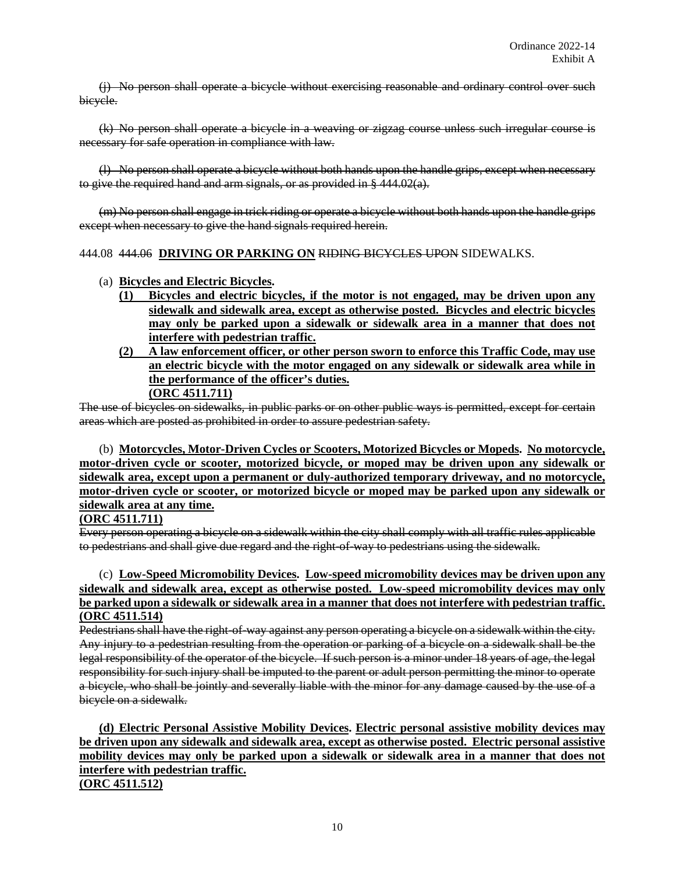(j) No person shall operate a bicycle without exercising reasonable and ordinary control over such bicycle.

(k) No person shall operate a bicycle in a weaving or zigzag course unless such irregular course is necessary for safe operation in compliance with law.

(l) No person shall operate a bicycle without both hands upon the handle grips, except when necessary to give the required hand and arm signals, or as provided in § 444.02(a).

(m) No person shall engage in trick riding or operate a bicycle without both hands upon the handle grips except when necessary to give the hand signals required herein.

#### 444.08 444.06 **DRIVING OR PARKING ON** RIDING BICYCLES UPON SIDEWALKS.

- (a) **Bicycles and Electric Bicycles.** 
	- **(1) Bicycles and electric bicycles, if the motor is not engaged, may be driven upon any sidewalk and sidewalk area, except as otherwise posted. Bicycles and electric bicycles may only be parked upon a sidewalk or sidewalk area in a manner that does not interfere with pedestrian traffic.**
	- **(2) A law enforcement officer, or other person sworn to enforce this Traffic Code, may use an electric bicycle with the motor engaged on any sidewalk or sidewalk area while in the performance of the officer's duties. (ORC 4511.711)**

The use of bicycles on sidewalks, in public parks or on other public ways is permitted, except for certain areas which are posted as prohibited in order to assure pedestrian safety.

(b) **Motorcycles, Motor-Driven Cycles or Scooters, Motorized Bicycles or Mopeds. No motorcycle, motor-driven cycle or scooter, motorized bicycle, or moped may be driven upon any sidewalk or sidewalk area, except upon a permanent or duly-authorized temporary driveway, and no motorcycle, motor-driven cycle or scooter, or motorized bicycle or moped may be parked upon any sidewalk or sidewalk area at any time.**

# **(ORC 4511.711)**

Every person operating a bicycle on a sidewalk within the city shall comply with all traffic rules applicable to pedestrians and shall give due regard and the right-of-way to pedestrians using the sidewalk.

(c) **Low-Speed Micromobility Devices. Low-speed micromobility devices may be driven upon any sidewalk and sidewalk area, except as otherwise posted. Low-speed micromobility devices may only be parked upon a sidewalk or sidewalk area in a manner that does not interfere with pedestrian traffic. (ORC 4511.514)**

Pedestrians shall have the right-of-way against any person operating a bicycle on a sidewalk within the city. Any injury to a pedestrian resulting from the operation or parking of a bicycle on a sidewalk shall be the legal responsibility of the operator of the bicycle. If such person is a minor under 18 years of age, the legal responsibility for such injury shall be imputed to the parent or adult person permitting the minor to operate a bicycle, who shall be jointly and severally liable with the minor for any damage caused by the use of a bicycle on a sidewalk.

**(d) Electric Personal Assistive Mobility Devices. Electric personal assistive mobility devices may be driven upon any sidewalk and sidewalk area, except as otherwise posted. Electric personal assistive mobility devices may only be parked upon a sidewalk or sidewalk area in a manner that does not interfere with pedestrian traffic. (ORC 4511.512)**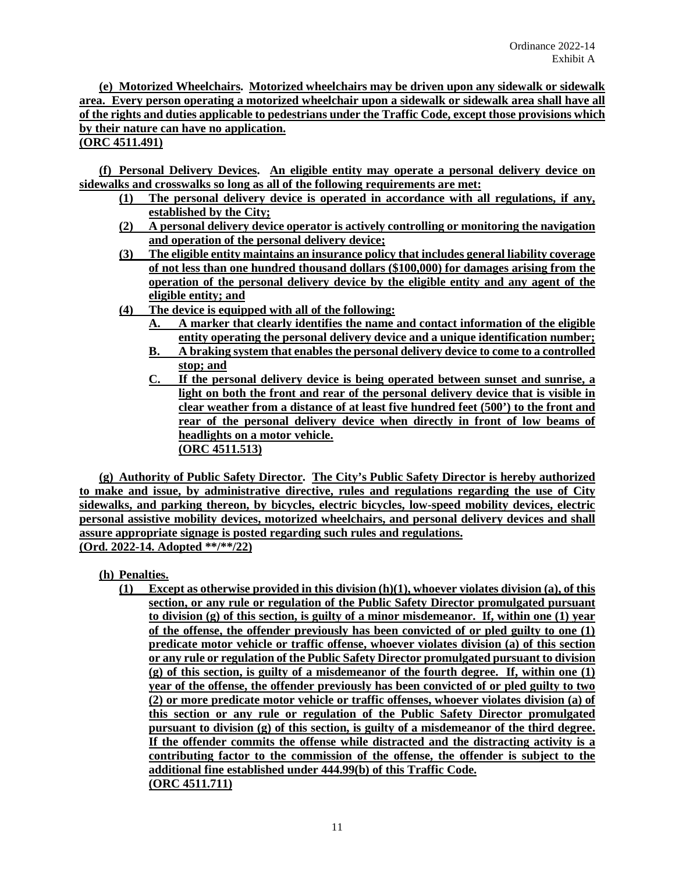**(e) Motorized Wheelchairs. Motorized wheelchairs may be driven upon any sidewalk or sidewalk area. Every person operating a motorized wheelchair upon a sidewalk or sidewalk area shall have all of the rights and duties applicable to pedestrians under the Traffic Code, except those provisions which by their nature can have no application.**

### **(ORC 4511.491)**

**(f) Personal Delivery Devices. An eligible entity may operate a personal delivery device on sidewalks and crosswalks so long as all of the following requirements are met:**

- **(1) The personal delivery device is operated in accordance with all regulations, if any, established by the City;**
- **(2) A personal delivery device operator is actively controlling or monitoring the navigation and operation of the personal delivery device;**
- **(3) The eligible entity maintains an insurance policy that includes general liability coverage of not less than one hundred thousand dollars (\$100,000) for damages arising from the operation of the personal delivery device by the eligible entity and any agent of the eligible entity; and**
- **(4) The device is equipped with all of the following:**
	- **A. A marker that clearly identifies the name and contact information of the eligible entity operating the personal delivery device and a unique identification number;**
	- **B. A braking system that enables the personal delivery device to come to a controlled stop; and**
	- **C. If the personal delivery device is being operated between sunset and sunrise, a light on both the front and rear of the personal delivery device that is visible in clear weather from a distance of at least five hundred feet (500') to the front and rear of the personal delivery device when directly in front of low beams of headlights on a motor vehicle. (ORC 4511.513)**

**(g) Authority of Public Safety Director. The City's Public Safety Director is hereby authorized to make and issue, by administrative directive, rules and regulations regarding the use of City sidewalks, and parking thereon, by bicycles, electric bicycles, low-speed mobility devices, electric personal assistive mobility devices, motorized wheelchairs, and personal delivery devices and shall assure appropriate signage is posted regarding such rules and regulations. (Ord. 2022-14. Adopted \*\*/\*\*/22)**

**(h) Penalties.** 

**(1) Except as otherwise provided in this division (h)(1), whoever violates division (a), of this section, or any rule or regulation of the Public Safety Director promulgated pursuant to division (g) of this section, is guilty of a minor misdemeanor. If, within one (1) year of the offense, the offender previously has been convicted of or pled guilty to one (1) predicate motor vehicle or traffic offense, whoever violates division (a) of this section or any rule or regulation of the Public Safety Director promulgated pursuant to division (g) of this section, is guilty of a misdemeanor of the fourth degree. If, within one (1) year of the offense, the offender previously has been convicted of or pled guilty to two (2) or more predicate motor vehicle or traffic offenses, whoever violates division (a) of this section or any rule or regulation of the Public Safety Director promulgated pursuant to division (g) of this section, is guilty of a misdemeanor of the third degree. If the offender commits the offense while distracted and the distracting activity is a contributing factor to the commission of the offense, the offender is subject to the additional fine established under 444.99(b) of this Traffic Code. (ORC 4511.711)**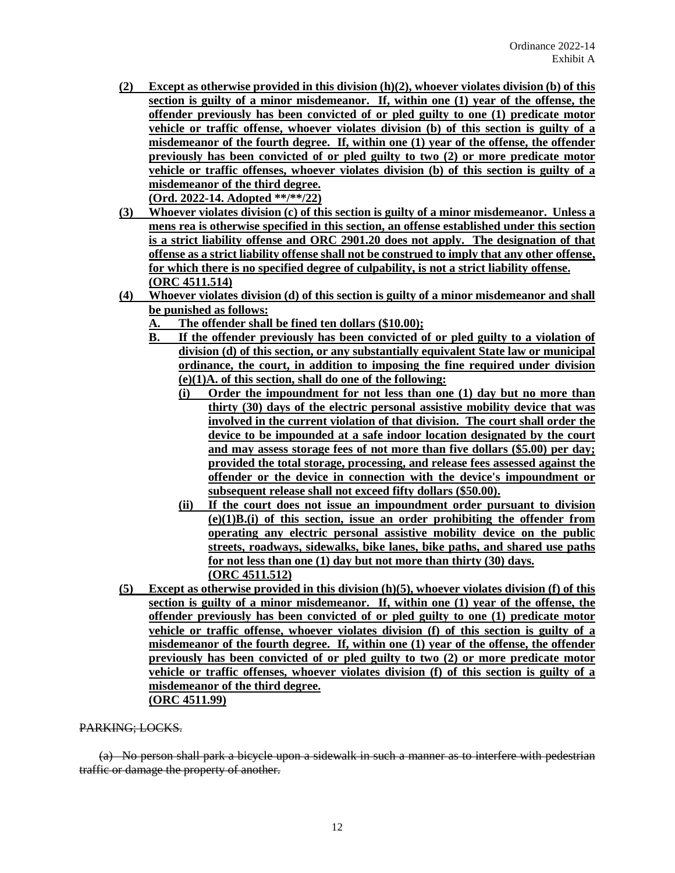- **(2) Except as otherwise provided in this division (h)(2), whoever violates division (b) of this section is guilty of a minor misdemeanor. If, within one (1) year of the offense, the offender previously has been convicted of or pled guilty to one (1) predicate motor vehicle or traffic offense, whoever violates division (b) of this section is guilty of a misdemeanor of the fourth degree. If, within one (1) year of the offense, the offender previously has been convicted of or pled guilty to two (2) or more predicate motor vehicle or traffic offenses, whoever violates division (b) of this section is guilty of a misdemeanor of the third degree. (Ord. 2022-14. Adopted \*\*/\*\*/22)**
- **(3) Whoever violates division (c) of this section is guilty of a minor misdemeanor. Unless a mens rea is otherwise specified in this section, an offense established under this section is a strict liability offense and ORC 2901.20 does not apply. The designation of that offense as a strict liability offense shall not be construed to imply that any other offense, for which there is no specified degree of culpability, is not a strict liability offense. (ORC 4511.514)**
- **(4) Whoever violates division (d) of this section is guilty of a minor misdemeanor and shall be punished as follows:**
	- **A. The offender shall be fined ten dollars (\$10.00);**
	- **B. If the offender previously has been convicted of or pled guilty to a violation of division (d) of this section, or any substantially equivalent State law or municipal ordinance, the court, in addition to imposing the fine required under division (e)(1)A. of this section, shall do one of the following:**
		- **(i) Order the impoundment for not less than one (1) day but no more than thirty (30) days of the electric personal assistive mobility device that was involved in the current violation of that division. The court shall order the device to be impounded at a safe indoor location designated by the court and may assess storage fees of not more than five dollars (\$5.00) per day; provided the total storage, processing, and release fees assessed against the offender or the device in connection with the device's impoundment or subsequent release shall not exceed fifty dollars (\$50.00).**
		- **(ii) If the court does not issue an impoundment order pursuant to division (e)(1)B.(i) of this section, issue an order prohibiting the offender from operating any electric personal assistive mobility device on the public streets, roadways, sidewalks, bike lanes, bike paths, and shared use paths for not less than one (1) day but not more than thirty (30) days. (ORC 4511.512)**
- **(5) Except as otherwise provided in this division (h)(5), whoever violates division (f) of this section is guilty of a minor misdemeanor. If, within one (1) year of the offense, the offender previously has been convicted of or pled guilty to one (1) predicate motor vehicle or traffic offense, whoever violates division (f) of this section is guilty of a misdemeanor of the fourth degree. If, within one (1) year of the offense, the offender previously has been convicted of or pled guilty to two (2) or more predicate motor vehicle or traffic offenses, whoever violates division (f) of this section is guilty of a misdemeanor of the third degree. (ORC 4511.99)**

#### PARKING; LOCKS.

(a) No person shall park a bicycle upon a sidewalk in such a manner as to interfere with pedestrian traffic or damage the property of another.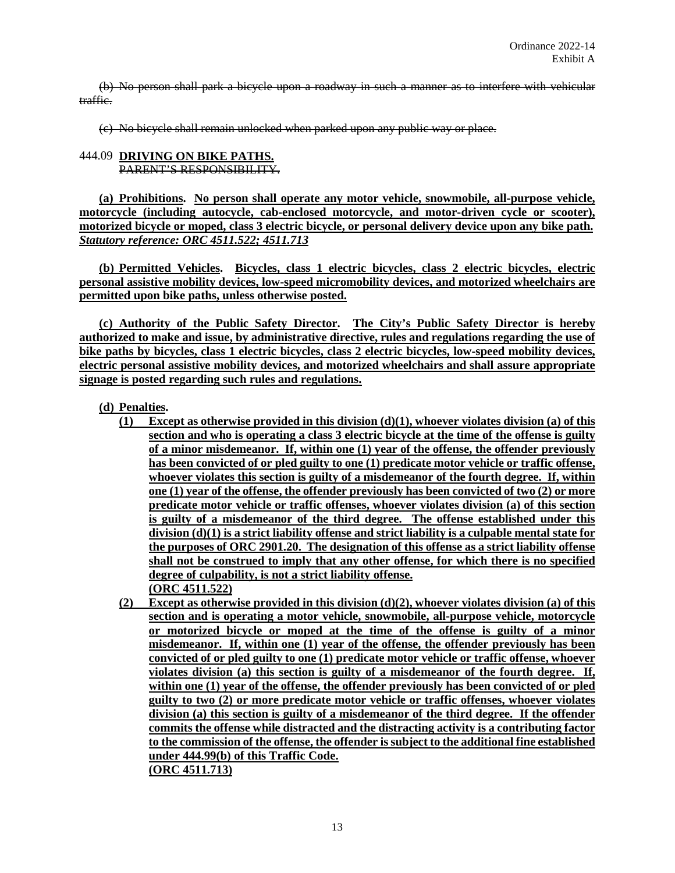(b) No person shall park a bicycle upon a roadway in such a manner as to interfere with vehicular traffic.

(c) No bicycle shall remain unlocked when parked upon any public way or place.

#### 444.09 **DRIVING ON BIKE PATHS.** PARENT'S RESPONSIBILITY.

**(a) Prohibitions. No person shall operate any motor vehicle, snowmobile, all-purpose vehicle, motorcycle (including autocycle, cab-enclosed motorcycle, and motor-driven cycle or scooter), motorized bicycle or moped, class 3 electric bicycle, or personal delivery device upon any bike path.** *Statutory reference: ORC 4511.522; 4511.713*

**(b) Permitted Vehicles. Bicycles, class 1 electric bicycles, class 2 electric bicycles, electric personal assistive mobility devices, low-speed micromobility devices, and motorized wheelchairs are permitted upon bike paths, unless otherwise posted.**

**(c) Authority of the Public Safety Director. The City's Public Safety Director is hereby authorized to make and issue, by administrative directive, rules and regulations regarding the use of bike paths by bicycles, class 1 electric bicycles, class 2 electric bicycles, low-speed mobility devices, electric personal assistive mobility devices, and motorized wheelchairs and shall assure appropriate signage is posted regarding such rules and regulations.**

### **(d) Penalties.**

- **(1) Except as otherwise provided in this division (d)(1), whoever violates division (a) of this section and who is operating a class 3 electric bicycle at the time of the offense is guilty of a minor misdemeanor. If, within one (1) year of the offense, the offender previously has been convicted of or pled guilty to one (1) predicate motor vehicle or traffic offense, whoever violates this section is guilty of a misdemeanor of the fourth degree. If, within one (1) year of the offense, the offender previously has been convicted of two (2) or more predicate motor vehicle or traffic offenses, whoever violates division (a) of this section is guilty of a misdemeanor of the third degree. The offense established under this division (d)(1) is a strict liability offense and strict liability is a culpable mental state for the purposes of ORC 2901.20. The designation of this offense as a strict liability offense shall not be construed to imply that any other offense, for which there is no specified degree of culpability, is not a strict liability offense. (ORC 4511.522)**
- **(2) Except as otherwise provided in this division (d)(2), whoever violates division (a) of this section and is operating a motor vehicle, snowmobile, all-purpose vehicle, motorcycle or motorized bicycle or moped at the time of the offense is guilty of a minor misdemeanor. If, within one (1) year of the offense, the offender previously has been convicted of or pled guilty to one (1) predicate motor vehicle or traffic offense, whoever violates division (a) this section is guilty of a misdemeanor of the fourth degree. If, within one (1) year of the offense, the offender previously has been convicted of or pled guilty to two (2) or more predicate motor vehicle or traffic offenses, whoever violates division (a) this section is guilty of a misdemeanor of the third degree. If the offender commits the offense while distracted and the distracting activity is a contributing factor to the commission of the offense, the offender is subject to the additional fine established under 444.99(b) of this Traffic Code. (ORC 4511.713)**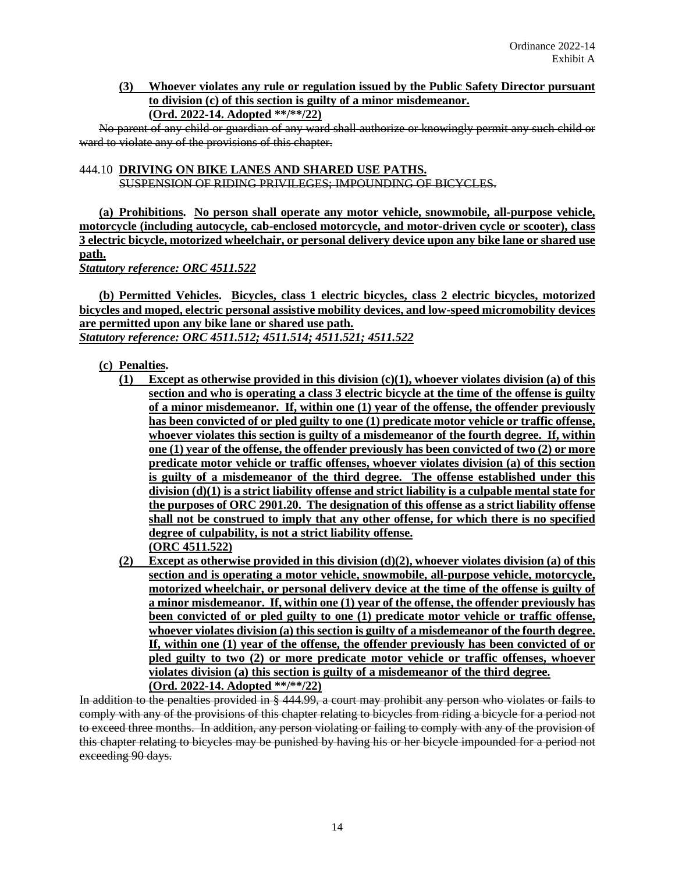#### **(3) Whoever violates any rule or regulation issued by the Public Safety Director pursuant to division (c) of this section is guilty of a minor misdemeanor. (Ord. 2022-14. Adopted \*\*/\*\*/22)**

No parent of any child or guardian of any ward shall authorize or knowingly permit any such child or ward to violate any of the provisions of this chapter.

#### 444.10 **DRIVING ON BIKE LANES AND SHARED USE PATHS.** SUSPENSION OF RIDING PRIVILEGES; IMPOUNDING OF BICYCLES.

**(a) Prohibitions. No person shall operate any motor vehicle, snowmobile, all-purpose vehicle, motorcycle (including autocycle, cab-enclosed motorcycle, and motor-driven cycle or scooter), class 3 electric bicycle, motorized wheelchair, or personal delivery device upon any bike lane or shared use path.**

*Statutory reference: ORC 4511.522*

**(b) Permitted Vehicles. Bicycles, class 1 electric bicycles, class 2 electric bicycles, motorized bicycles and moped, electric personal assistive mobility devices, and low-speed micromobility devices are permitted upon any bike lane or shared use path.** *Statutory reference: ORC 4511.512; 4511.514; 4511.521; 4511.522*

## **(c) Penalties.**

- **(1) Except as otherwise provided in this division (c)(1), whoever violates division (a) of this section and who is operating a class 3 electric bicycle at the time of the offense is guilty of a minor misdemeanor. If, within one (1) year of the offense, the offender previously has been convicted of or pled guilty to one (1) predicate motor vehicle or traffic offense, whoever violates this section is guilty of a misdemeanor of the fourth degree. If, within one (1) year of the offense, the offender previously has been convicted of two (2) or more predicate motor vehicle or traffic offenses, whoever violates division (a) of this section is guilty of a misdemeanor of the third degree. The offense established under this division (d)(1) is a strict liability offense and strict liability is a culpable mental state for the purposes of ORC 2901.20. The designation of this offense as a strict liability offense shall not be construed to imply that any other offense, for which there is no specified degree of culpability, is not a strict liability offense. (ORC 4511.522)**
- **(2) Except as otherwise provided in this division (d)(2), whoever violates division (a) of this section and is operating a motor vehicle, snowmobile, all-purpose vehicle, motorcycle, motorized wheelchair, or personal delivery device at the time of the offense is guilty of a minor misdemeanor. If, within one (1) year of the offense, the offender previously has been convicted of or pled guilty to one (1) predicate motor vehicle or traffic offense, whoever violates division (a) this section is guilty of a misdemeanor of the fourth degree. If, within one (1) year of the offense, the offender previously has been convicted of or pled guilty to two (2) or more predicate motor vehicle or traffic offenses, whoever violates division (a) this section is guilty of a misdemeanor of the third degree. (Ord. 2022-14. Adopted \*\*/\*\*/22)**

In addition to the penalties provided in § 444.99, a court may prohibit any person who violates or fails to comply with any of the provisions of this chapter relating to bicycles from riding a bicycle for a period not to exceed three months. In addition, any person violating or failing to comply with any of the provision of this chapter relating to bicycles may be punished by having his or her bicycle impounded for a period not exceeding 90 days.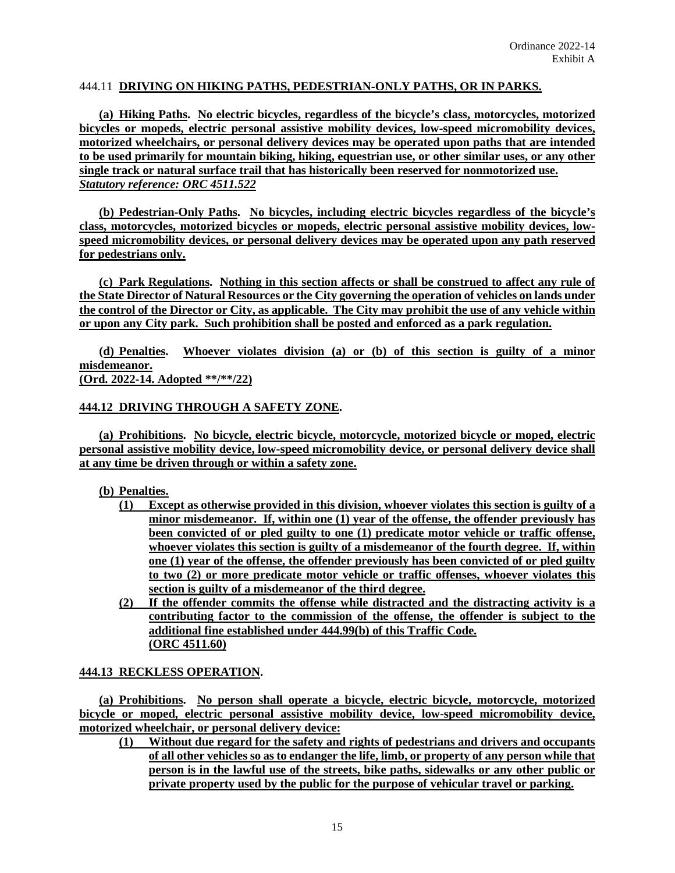#### 444.11 **DRIVING ON HIKING PATHS, PEDESTRIAN-ONLY PATHS, OR IN PARKS.**

**(a) Hiking Paths. No electric bicycles, regardless of the bicycle's class, motorcycles, motorized bicycles or mopeds, electric personal assistive mobility devices, low-speed micromobility devices, motorized wheelchairs, or personal delivery devices may be operated upon paths that are intended to be used primarily for mountain biking, hiking, equestrian use, or other similar uses, or any other single track or natural surface trail that has historically been reserved for nonmotorized use.** *Statutory reference: ORC 4511.522*

**(b) Pedestrian-Only Paths. No bicycles, including electric bicycles regardless of the bicycle's class, motorcycles, motorized bicycles or mopeds, electric personal assistive mobility devices, lowspeed micromobility devices, or personal delivery devices may be operated upon any path reserved for pedestrians only.**

**(c) Park Regulations. Nothing in this section affects or shall be construed to affect any rule of the State Director of Natural Resources or the City governing the operation of vehicles on lands under the control of the Director or City, as applicable. The City may prohibit the use of any vehicle within or upon any City park. Such prohibition shall be posted and enforced as a park regulation.**

**(d) Penalties. Whoever violates division (a) or (b) of this section is guilty of a minor misdemeanor. (Ord. 2022-14. Adopted \*\*/\*\*/22)**

#### **444.12 DRIVING THROUGH A SAFETY ZONE.**

**(a) Prohibitions. No bicycle, electric bicycle, motorcycle, motorized bicycle or moped, electric personal assistive mobility device, low-speed micromobility device, or personal delivery device shall at any time be driven through or within a safety zone.**

**(b) Penalties.** 

- **(1) Except as otherwise provided in this division, whoever violates this section is guilty of a minor misdemeanor. If, within one (1) year of the offense, the offender previously has been convicted of or pled guilty to one (1) predicate motor vehicle or traffic offense, whoever violates this section is guilty of a misdemeanor of the fourth degree. If, within one (1) year of the offense, the offender previously has been convicted of or pled guilty to two (2) or more predicate motor vehicle or traffic offenses, whoever violates this section is guilty of a misdemeanor of the third degree.**
- **(2) If the offender commits the offense while distracted and the distracting activity is a contributing factor to the commission of the offense, the offender is subject to the additional fine established under 444.99(b) of this Traffic Code. (ORC 4511.60)**

#### **444.13 RECKLESS OPERATION.**

**(a) Prohibitions. No person shall operate a bicycle, electric bicycle, motorcycle, motorized bicycle or moped, electric personal assistive mobility device, low-speed micromobility device, motorized wheelchair, or personal delivery device:**

**(1) Without due regard for the safety and rights of pedestrians and drivers and occupants of all other vehicles so as to endanger the life, limb, or property of any person while that person is in the lawful use of the streets, bike paths, sidewalks or any other public or private property used by the public for the purpose of vehicular travel or parking.**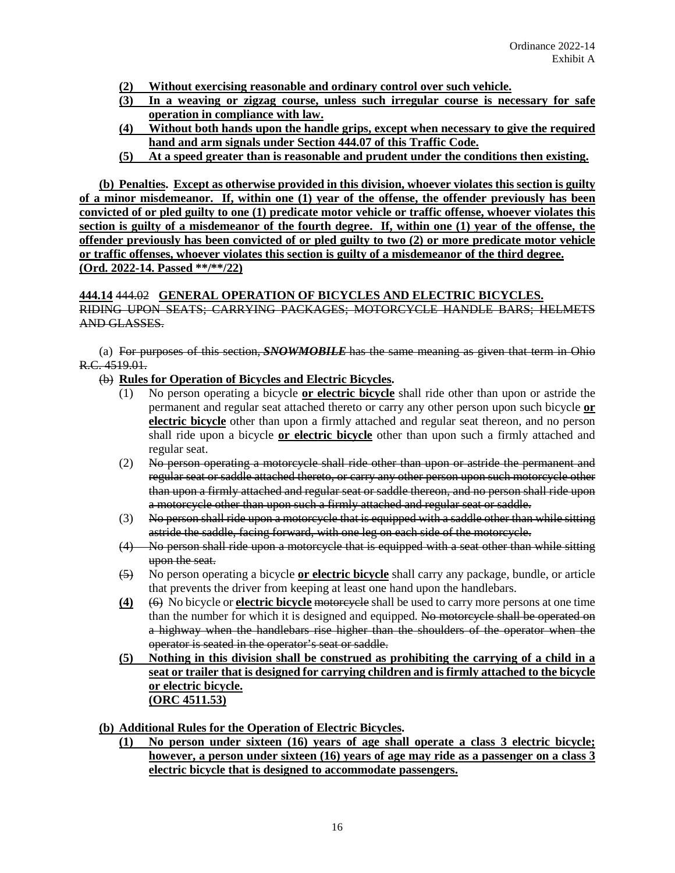- **(2) Without exercising reasonable and ordinary control over such vehicle.**
- **(3) In a weaving or zigzag course, unless such irregular course is necessary for safe operation in compliance with law.**
- **(4) Without both hands upon the handle grips, except when necessary to give the required hand and arm signals under Section 444.07 of this Traffic Code.**
- **(5) At a speed greater than is reasonable and prudent under the conditions then existing.**

**(b) Penalties. Except as otherwise provided in this division, whoever violates this section is guilty of a minor misdemeanor. If, within one (1) year of the offense, the offender previously has been convicted of or pled guilty to one (1) predicate motor vehicle or traffic offense, whoever violates this section is guilty of a misdemeanor of the fourth degree. If, within one (1) year of the offense, the offender previously has been convicted of or pled guilty to two (2) or more predicate motor vehicle or traffic offenses, whoever violates this section is guilty of a misdemeanor of the third degree. (Ord. 2022-14. Passed \*\*/\*\*/22)**

**444.14** 444.02 **GENERAL OPERATION OF BICYCLES AND ELECTRIC BICYCLES.** RIDING UPON SEATS; CARRYING PACKAGES; MOTORCYCLE HANDLE BARS; HELMETS AND GLASSES.

(a) For purposes of this section, *SNOWMOBILE* has the same meaning as given that term in Ohio R.C. 4519.01.

- (b) **Rules for Operation of Bicycles and Electric Bicycles.**
	- (1) No person operating a bicycle **or electric bicycle** shall ride other than upon or astride the permanent and regular seat attached thereto or carry any other person upon such bicycle **or electric bicycle** other than upon a firmly attached and regular seat thereon, and no person shall ride upon a bicycle **or electric bicycle** other than upon such a firmly attached and regular seat.
	- (2) No person operating a motorcycle shall ride other than upon or astride the permanent and regular seat or saddle attached thereto, or carry any other person upon such motorcycle other than upon a firmly attached and regular seat or saddle thereon, and no person shall ride upon a motorcycle other than upon such a firmly attached and regular seat or saddle.
	- (3) No person shall ride upon a motorcycle that is equipped with a saddle other than while sitting astride the saddle, facing forward, with one leg on each side of the motorcycle.
	- (4) No person shall ride upon a motorcycle that is equipped with a seat other than while sitting upon the seat.
	- (5) No person operating a bicycle **or electric bicycle** shall carry any package, bundle, or article that prevents the driver from keeping at least one hand upon the handlebars.
	- **(4)** (6) No bicycle or **electric bicycle** motorcycle shall be used to carry more persons at one time than the number for which it is designed and equipped. No motorcycle shall be operated on a highway when the handlebars rise higher than the shoulders of the operator when the operator is seated in the operator's seat or saddle.
	- **(5) Nothing in this division shall be construed as prohibiting the carrying of a child in a seat or trailer that is designed for carrying children and is firmly attached to the bicycle or electric bicycle. (ORC 4511.53)**

**(b) Additional Rules for the Operation of Electric Bicycles.**

**(1) No person under sixteen (16) years of age shall operate a class 3 electric bicycle; however, a person under sixteen (16) years of age may ride as a passenger on a class 3 electric bicycle that is designed to accommodate passengers.**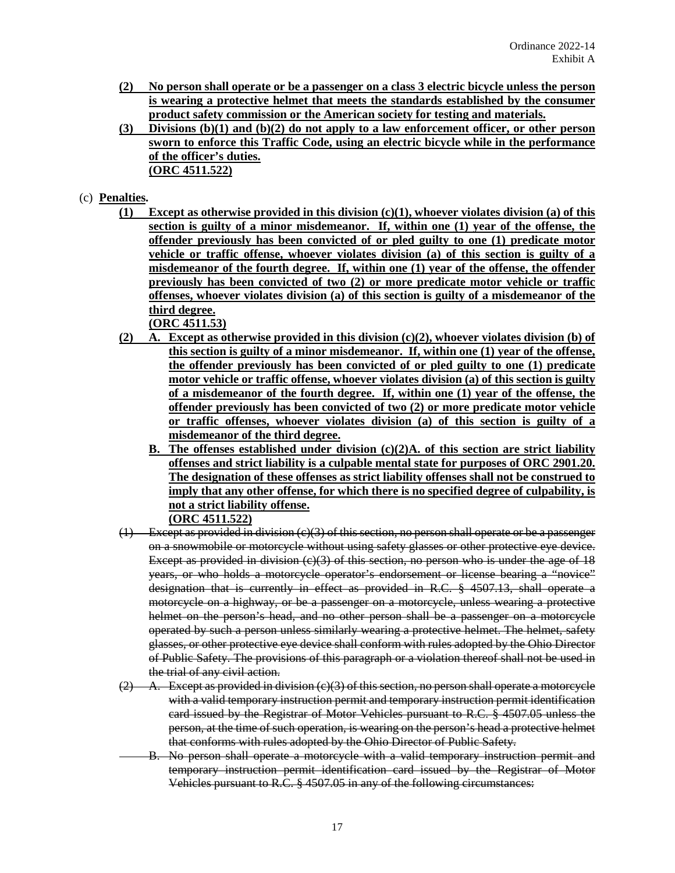- **(2) No person shall operate or be a passenger on a class 3 electric bicycle unless the person is wearing a protective helmet that meets the standards established by the consumer product safety commission or the American society for testing and materials.**
- **(3) Divisions (b)(1) and (b)(2) do not apply to a law enforcement officer, or other person sworn to enforce this Traffic Code, using an electric bicycle while in the performance of the officer's duties. (ORC 4511.522)**

## (c) **Penalties.**

**(1) Except as otherwise provided in this division (c)(1), whoever violates division (a) of this section is guilty of a minor misdemeanor. If, within one (1) year of the offense, the offender previously has been convicted of or pled guilty to one (1) predicate motor vehicle or traffic offense, whoever violates division (a) of this section is guilty of a misdemeanor of the fourth degree. If, within one (1) year of the offense, the offender previously has been convicted of two (2) or more predicate motor vehicle or traffic offenses, whoever violates division (a) of this section is guilty of a misdemeanor of the third degree. (ORC 4511.53)**

**(2) A. Except as otherwise provided in this division (c)(2), whoever violates division (b) of** 

- **this section is guilty of a minor misdemeanor. If, within one (1) year of the offense, the offender previously has been convicted of or pled guilty to one (1) predicate motor vehicle or traffic offense, whoever violates division (a) of this section is guilty of a misdemeanor of the fourth degree. If, within one (1) year of the offense, the offender previously has been convicted of two (2) or more predicate motor vehicle or traffic offenses, whoever violates division (a) of this section is guilty of a misdemeanor of the third degree.**
	- **B. The offenses established under division (c)(2)A. of this section are strict liability offenses and strict liability is a culpable mental state for purposes of ORC 2901.20. The designation of these offenses as strict liability offenses shall not be construed to imply that any other offense, for which there is no specified degree of culpability, is not a strict liability offense. (ORC 4511.522)**
- $(1)$  Except as provided in division  $(e)(3)$  of this section, no person shall operate or be a passenger on a snowmobile or motorcycle without using safety glasses or other protective eye device. Except as provided in division  $(c)(3)$  of this section, no person who is under the age of 18 years, or who holds a motorcycle operator's endorsement or license bearing a "novice" designation that is currently in effect as provided in R.C. § 4507.13, shall operate a motorcycle on a highway, or be a passenger on a motorcycle, unless wearing a protective helmet on the person's head, and no other person shall be a passenger on a motorcycle operated by such a person unless similarly wearing a protective helmet. The helmet, safety glasses, or other protective eye device shall conform with rules adopted by the Ohio Director of Public Safety. The provisions of this paragraph or a violation thereof shall not be used in the trial of any civil action.
- $(2)$  A. Except as provided in division  $(e)(3)$  of this section, no person shall operate a motorcycle with a valid temporary instruction permit and temporary instruction permit identification card issued by the Registrar of Motor Vehicles pursuant to R.C. § 4507.05 unless the person, at the time of such operation, is wearing on the person's head a protective helmet that conforms with rules adopted by the Ohio Director of Public Safety.
	- B. No person shall operate a motorcycle with a valid temporary instruction permit and temporary instruction permit identification card issued by the Registrar of Motor Vehicles pursuant to R.C. § 4507.05 in any of the following circumstances: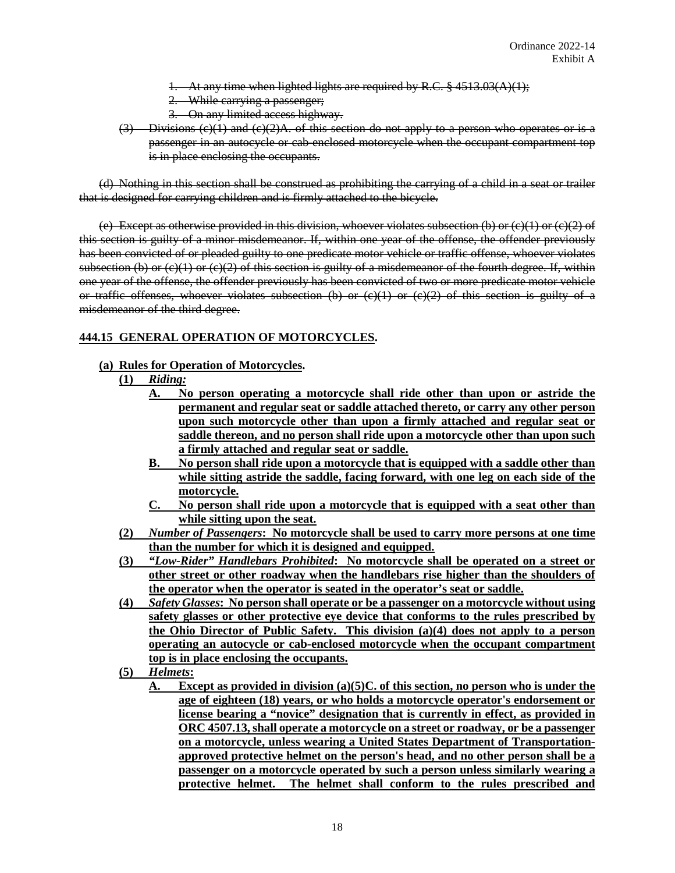- 1. At any time when lighted lights are required by R.C. § 4513.03(A)(1);
- 2. While carrying a passenger;
- 3. On any limited access highway.
- $(3)$  Divisions  $(e)(1)$  and  $(e)(2)$ A. of this section do not apply to a person who operates or is a passenger in an autocycle or cab-enclosed motorcycle when the occupant compartment top is in place enclosing the occupants.

(d) Nothing in this section shall be construed as prohibiting the carrying of a child in a seat or trailer that is designed for carrying children and is firmly attached to the bicycle.

(e) Except as otherwise provided in this division, whoever violates subsection (b) or  $(e)(1)$  or  $(e)(2)$  of this section is guilty of a minor misdemeanor. If, within one year of the offense, the offender previously has been convicted of or pleaded guilty to one predicate motor vehicle or traffic offense, whoever violates subsection (b) or  $(c)(1)$  or  $(c)(2)$  of this section is guilty of a misdemeanor of the fourth degree. If, within one year of the offense, the offender previously has been convicted of two or more predicate motor vehicle or traffic offenses, whoever violates subsection (b) or  $(c)(1)$  or  $(c)(2)$  of this section is guilty of a misdemeanor of the third degree.

## **444.15 GENERAL OPERATION OF MOTORCYCLES.**

### **(a) Rules for Operation of Motorcycles.**

- **(1)** *Riding:*
	- **A. No person operating a motorcycle shall ride other than upon or astride the permanent and regular seat or saddle attached thereto, or carry any other person upon such motorcycle other than upon a firmly attached and regular seat or saddle thereon, and no person shall ride upon a motorcycle other than upon such a firmly attached and regular seat or saddle.**
	- **B. No person shall ride upon a motorcycle that is equipped with a saddle other than while sitting astride the saddle, facing forward, with one leg on each side of the motorcycle.**
	- **C. No person shall ride upon a motorcycle that is equipped with a seat other than while sitting upon the seat.**
- **(2)** *Number of Passengers***: No motorcycle shall be used to carry more persons at one time than the number for which it is designed and equipped.**
- **(3)** *"Low-Rider" Handlebars Prohibited***: No motorcycle shall be operated on a street or other street or other roadway when the handlebars rise higher than the shoulders of the operator when the operator is seated in the operator's seat or saddle.**
- **(4)** *Safety Glasses***: No person shall operate or be a passenger on a motorcycle without using safety glasses or other protective eye device that conforms to the rules prescribed by the Ohio Director of Public Safety. This division (a)(4) does not apply to a person operating an autocycle or cab-enclosed motorcycle when the occupant compartment top is in place enclosing the occupants.**
- **(5)** *Helmets***:**
	- Except as provided in division (a)(5)C. of this section, no person who is under the **age of eighteen (18) years, or who holds a motorcycle operator's endorsement or license bearing a "novice" designation that is currently in effect, as provided in ORC 4507.13, shall operate a motorcycle on a street or roadway, or be a passenger on a motorcycle, unless wearing a United States Department of Transportationapproved protective helmet on the person's head, and no other person shall be a passenger on a motorcycle operated by such a person unless similarly wearing a protective helmet. The helmet shall conform to the rules prescribed and**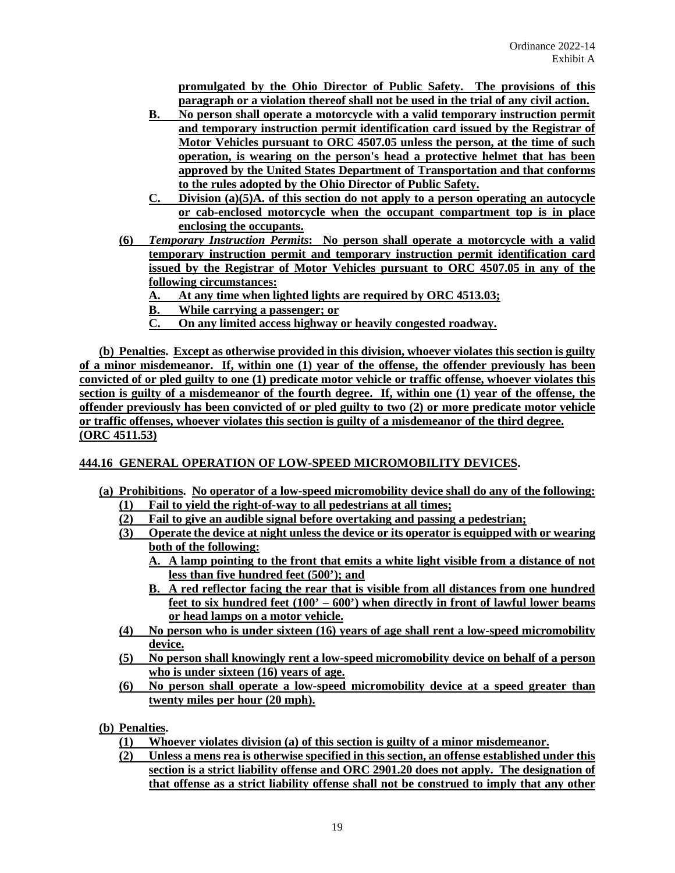**promulgated by the Ohio Director of Public Safety. The provisions of this paragraph or a violation thereof shall not be used in the trial of any civil action.** 

- **B. No person shall operate a motorcycle with a valid temporary instruction permit and temporary instruction permit identification card issued by the Registrar of Motor Vehicles pursuant to ORC 4507.05 unless the person, at the time of such operation, is wearing on the person's head a protective helmet that has been approved by the United States Department of Transportation and that conforms to the rules adopted by the Ohio Director of Public Safety.**
- **C. Division (a)(5)A. of this section do not apply to a person operating an autocycle or cab-enclosed motorcycle when the occupant compartment top is in place enclosing the occupants.**
- **(6)** *Temporary Instruction Permits***: No person shall operate a motorcycle with a valid temporary instruction permit and temporary instruction permit identification card issued by the Registrar of Motor Vehicles pursuant to ORC 4507.05 in any of the following circumstances:**
	- **A. At any time when lighted lights are required by ORC 4513.03;**
	- **B. While carrying a passenger; or**
	- **C. On any limited access highway or heavily congested roadway.**

**(b) Penalties. Except as otherwise provided in this division, whoever violates this section is guilty of a minor misdemeanor. If, within one (1) year of the offense, the offender previously has been convicted of or pled guilty to one (1) predicate motor vehicle or traffic offense, whoever violates this section is guilty of a misdemeanor of the fourth degree. If, within one (1) year of the offense, the offender previously has been convicted of or pled guilty to two (2) or more predicate motor vehicle or traffic offenses, whoever violates this section is guilty of a misdemeanor of the third degree. (ORC 4511.53)** 

# **444.16 GENERAL OPERATION OF LOW-SPEED MICROMOBILITY DEVICES.**

- **(a) Prohibitions. No operator of a low-speed micromobility device shall do any of the following: (1) Fail to yield the right-of-way to all pedestrians at all times;**
	- **(2) Fail to give an audible signal before overtaking and passing a pedestrian;**
	- **(3) Operate the device at night unless the device or its operator is equipped with or wearing both of the following:**
		- **A. A lamp pointing to the front that emits a white light visible from a distance of not less than five hundred feet (500'); and**
		- **B. A red reflector facing the rear that is visible from all distances from one hundred feet to six hundred feet (100' – 600') when directly in front of lawful lower beams or head lamps on a motor vehicle.**
	- **(4) No person who is under sixteen (16) years of age shall rent a low-speed micromobility device.**
	- **(5) No person shall knowingly rent a low-speed micromobility device on behalf of a person who is under sixteen (16) years of age.**
	- **(6) No person shall operate a low-speed micromobility device at a speed greater than twenty miles per hour (20 mph).**
- **(b) Penalties.**
	- **(1) Whoever violates division (a) of this section is guilty of a minor misdemeanor.**
	- **(2) Unless a mens rea is otherwise specified in this section, an offense established under this section is a strict liability offense and ORC 2901.20 does not apply. The designation of that offense as a strict liability offense shall not be construed to imply that any other**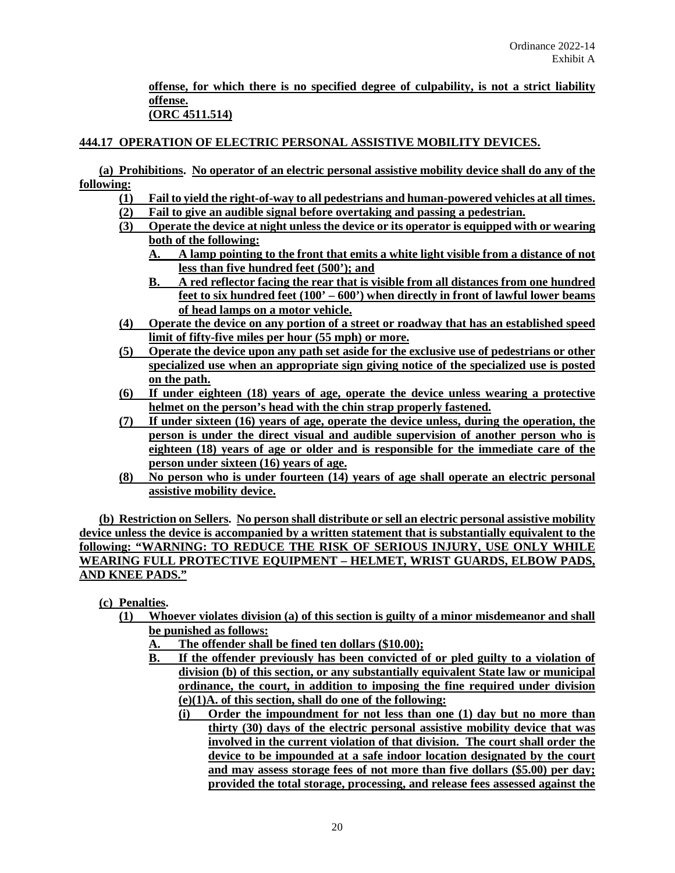**offense, for which there is no specified degree of culpability, is not a strict liability offense. (ORC 4511.514)**

# **444.17 OPERATION OF ELECTRIC PERSONAL ASSISTIVE MOBILITY DEVICES.**

**(a) Prohibitions. No operator of an electric personal assistive mobility device shall do any of the following:**

- **(1) Fail to yield the right-of-way to all pedestrians and human-powered vehicles at all times.**
- **(2) Fail to give an audible signal before overtaking and passing a pedestrian.**
- **(3) Operate the device at night unless the device or its operator is equipped with or wearing both of the following:**
	- **A. A lamp pointing to the front that emits a white light visible from a distance of not less than five hundred feet (500'); and**
	- **B. A red reflector facing the rear that is visible from all distances from one hundred feet to six hundred feet (100' – 600') when directly in front of lawful lower beams of head lamps on a motor vehicle.**
- **(4) Operate the device on any portion of a street or roadway that has an established speed limit of fifty-five miles per hour (55 mph) or more.**
- **(5) Operate the device upon any path set aside for the exclusive use of pedestrians or other specialized use when an appropriate sign giving notice of the specialized use is posted on the path.**
- **(6) If under eighteen (18) years of age, operate the device unless wearing a protective helmet on the person's head with the chin strap properly fastened.**
- **(7) If under sixteen (16) years of age, operate the device unless, during the operation, the person is under the direct visual and audible supervision of another person who is eighteen (18) years of age or older and is responsible for the immediate care of the person under sixteen (16) years of age.**
- **(8) No person who is under fourteen (14) years of age shall operate an electric personal assistive mobility device.**

**(b) Restriction on Sellers. No person shall distribute or sell an electric personal assistive mobility device unless the device is accompanied by a written statement that is substantially equivalent to the following: "WARNING: TO REDUCE THE RISK OF SERIOUS INJURY, USE ONLY WHILE WEARING FULL PROTECTIVE EQUIPMENT – HELMET, WRIST GUARDS, ELBOW PADS, AND KNEE PADS."**

# **(c) Penalties.**

- **(1) Whoever violates division (a) of this section is guilty of a minor misdemeanor and shall be punished as follows:**
	- **A. The offender shall be fined ten dollars (\$10.00);**
	- **B. If the offender previously has been convicted of or pled guilty to a violation of division (b) of this section, or any substantially equivalent State law or municipal ordinance, the court, in addition to imposing the fine required under division (e)(1)A. of this section, shall do one of the following:**
		- **(i) Order the impoundment for not less than one (1) day but no more than thirty (30) days of the electric personal assistive mobility device that was involved in the current violation of that division. The court shall order the device to be impounded at a safe indoor location designated by the court and may assess storage fees of not more than five dollars (\$5.00) per day; provided the total storage, processing, and release fees assessed against the**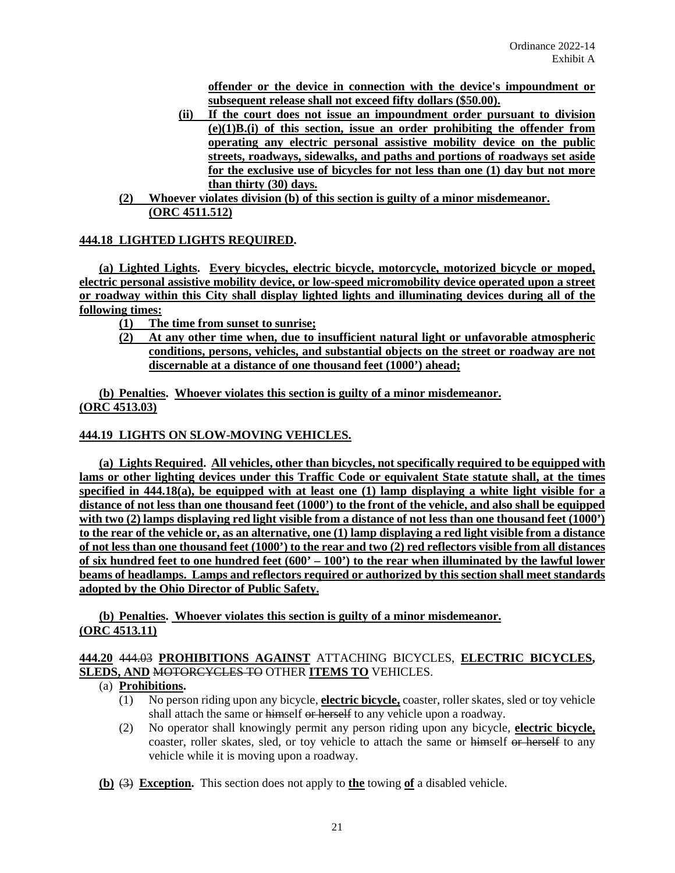**offender or the device in connection with the device's impoundment or subsequent release shall not exceed fifty dollars (\$50.00).**

- **(ii) If the court does not issue an impoundment order pursuant to division (e)(1)B.(i) of this section, issue an order prohibiting the offender from operating any electric personal assistive mobility device on the public streets, roadways, sidewalks, and paths and portions of roadways set aside for the exclusive use of bicycles for not less than one (1) day but not more than thirty (30) days.**
- **(2) Whoever violates division (b) of this section is guilty of a minor misdemeanor. (ORC 4511.512)**

# **444.18 LIGHTED LIGHTS REQUIRED.**

**(a) Lighted Lights. Every bicycles, electric bicycle, motorcycle, motorized bicycle or moped, electric personal assistive mobility device, or low-speed micromobility device operated upon a street or roadway within this City shall display lighted lights and illuminating devices during all of the following times:**

- **(1) The time from sunset to sunrise;**
- **(2) At any other time when, due to insufficient natural light or unfavorable atmospheric conditions, persons, vehicles, and substantial objects on the street or roadway are not discernable at a distance of one thousand feet (1000') ahead;**

**(b) Penalties. Whoever violates this section is guilty of a minor misdemeanor. (ORC 4513.03)**

## **444.19 LIGHTS ON SLOW-MOVING VEHICLES.**

**(a) Lights Required. All vehicles, other than bicycles, not specifically required to be equipped with lams or other lighting devices under this Traffic Code or equivalent State statute shall, at the times specified in 444.18(a), be equipped with at least one (1) lamp displaying a white light visible for a distance of not less than one thousand feet (1000') to the front of the vehicle, and also shall be equipped**  with two (2) lamps displaying red light visible from a distance of not less than one thousand feet (1000') **to the rear of the vehicle or, as an alternative, one (1) lamp displaying a red light visible from a distance of not less than one thousand feet (1000') to the rear and two (2) red reflectors visible from all distances of six hundred feet to one hundred feet (600' – 100') to the rear when illuminated by the lawful lower beams of headlamps. Lamps and reflectors required or authorized by this section shall meet standards adopted by the Ohio Director of Public Safety.**

## **(b) Penalties. Whoever violates this section is guilty of a minor misdemeanor. (ORC 4513.11)**

# **444.20** 444.03 **PROHIBITIONS AGAINST** ATTACHING BICYCLES, **ELECTRIC BICYCLES, SLEDS, AND** MOTORCYCLES TO OTHER **ITEMS TO** VEHICLES.

# (a) **Prohibitions.**

- (1) No person riding upon any bicycle, **electric bicycle,** coaster, roller skates, sled or toy vehicle shall attach the same or himself or herself to any vehicle upon a roadway.
- (2) No operator shall knowingly permit any person riding upon any bicycle, **electric bicycle,** coaster, roller skates, sled, or toy vehicle to attach the same or himself or herself to any vehicle while it is moving upon a roadway.
- **(b)** (3) **Exception.** This section does not apply to **the** towing **of** a disabled vehicle.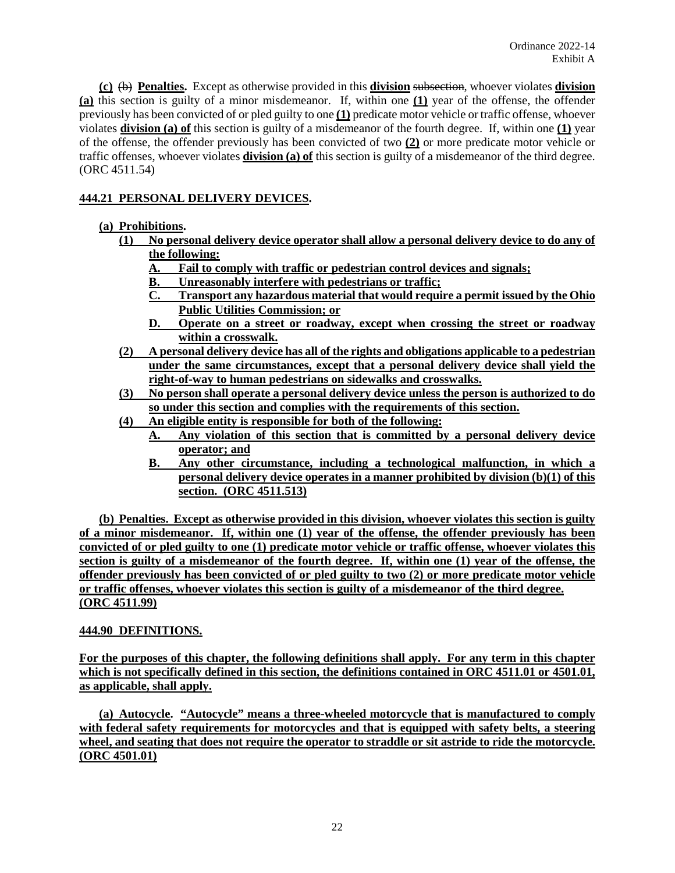**(c)** (b) **Penalties.** Except as otherwise provided in this **division** subsection, whoever violates **division (a)** this section is guilty of a minor misdemeanor. If, within one **(1)** year of the offense, the offender previously has been convicted of or pled guilty to one **(1)** predicate motor vehicle or traffic offense, whoever violates **division (a) of** this section is guilty of a misdemeanor of the fourth degree. If, within one **(1)** year of the offense, the offender previously has been convicted of two **(2)** or more predicate motor vehicle or traffic offenses, whoever violates **division (a) of** this section is guilty of a misdemeanor of the third degree. (ORC 4511.54)

# **444.21 PERSONAL DELIVERY DEVICES.**

# **(a) Prohibitions.**

- **(1) No personal delivery device operator shall allow a personal delivery device to do any of the following:**
	- **A. Fail to comply with traffic or pedestrian control devices and signals;**
	- **B. Unreasonably interfere with pedestrians or traffic;**
	- **C. Transport any hazardous material that would require a permit issued by the Ohio Public Utilities Commission; or**
	- **D. Operate on a street or roadway, except when crossing the street or roadway within a crosswalk.**
- **(2) A personal delivery device has all of the rights and obligations applicable to a pedestrian under the same circumstances, except that a personal delivery device shall yield the right-of-way to human pedestrians on sidewalks and crosswalks.**
- **(3) No person shall operate a personal delivery device unless the person is authorized to do so under this section and complies with the requirements of this section.**
- **(4) An eligible entity is responsible for both of the following:**
	- **A. Any violation of this section that is committed by a personal delivery device operator; and**
	- **B. Any other circumstance, including a technological malfunction, in which a personal delivery device operates in a manner prohibited by division (b)(1) of this section. (ORC 4511.513)**

**(b) Penalties. Except as otherwise provided in this division, whoever violates this section is guilty of a minor misdemeanor. If, within one (1) year of the offense, the offender previously has been convicted of or pled guilty to one (1) predicate motor vehicle or traffic offense, whoever violates this section is guilty of a misdemeanor of the fourth degree. If, within one (1) year of the offense, the offender previously has been convicted of or pled guilty to two (2) or more predicate motor vehicle or traffic offenses, whoever violates this section is guilty of a misdemeanor of the third degree. (ORC 4511.99)**

# **444.90 DEFINITIONS.**

**For the purposes of this chapter, the following definitions shall apply. For any term in this chapter which is not specifically defined in this section, the definitions contained in ORC 4511.01 or 4501.01, as applicable, shall apply.**

**(a) Autocycle. "Autocycle" means a three-wheeled motorcycle that is manufactured to comply with federal safety requirements for motorcycles and that is equipped with safety belts, a steering wheel, and seating that does not require the operator to straddle or sit astride to ride the motorcycle. (ORC 4501.01)**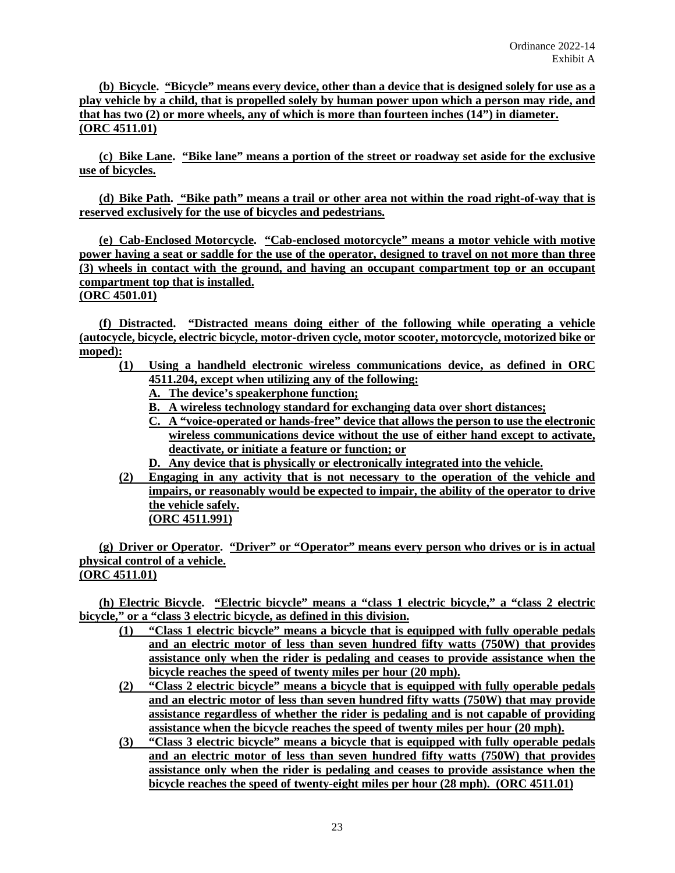**(b) Bicycle. "Bicycle" means every device, other than a device that is designed solely for use as a play vehicle by a child, that is propelled solely by human power upon which a person may ride, and that has two (2) or more wheels, any of which is more than fourteen inches (14") in diameter. (ORC 4511.01)**

**(c) Bike Lane. "Bike lane" means a portion of the street or roadway set aside for the exclusive use of bicycles.**

**(d) Bike Path. "Bike path" means a trail or other area not within the road right-of-way that is reserved exclusively for the use of bicycles and pedestrians.**

**(e) Cab-Enclosed Motorcycle. "Cab-enclosed motorcycle" means a motor vehicle with motive power having a seat or saddle for the use of the operator, designed to travel on not more than three (3) wheels in contact with the ground, and having an occupant compartment top or an occupant compartment top that is installed.**

## **(ORC 4501.01)**

**(f) Distracted. "Distracted means doing either of the following while operating a vehicle (autocycle, bicycle, electric bicycle, motor-driven cycle, motor scooter, motorcycle, motorized bike or moped):**

- **(1) Using a handheld electronic wireless communications device, as defined in ORC 4511.204, except when utilizing any of the following:**
	- **A. The device's speakerphone function;**
	- **B. A wireless technology standard for exchanging data over short distances;**
	- **C. A "voice-operated or hands-free" device that allows the person to use the electronic wireless communications device without the use of either hand except to activate, deactivate, or initiate a feature or function; or**
	- **D. Any device that is physically or electronically integrated into the vehicle.**
- **(2) Engaging in any activity that is not necessary to the operation of the vehicle and impairs, or reasonably would be expected to impair, the ability of the operator to drive the vehicle safely. (ORC 4511.991)**

**(g) Driver or Operator. "Driver" or "Operator" means every person who drives or is in actual physical control of a vehicle. (ORC 4511.01)**

**(h) Electric Bicycle. "Electric bicycle" means a "class 1 electric bicycle," a "class 2 electric bicycle," or a "class 3 electric bicycle, as defined in this division.**

- **(1) "Class 1 electric bicycle" means a bicycle that is equipped with fully operable pedals and an electric motor of less than seven hundred fifty watts (750W) that provides assistance only when the rider is pedaling and ceases to provide assistance when the bicycle reaches the speed of twenty miles per hour (20 mph).**
- **(2) "Class 2 electric bicycle" means a bicycle that is equipped with fully operable pedals and an electric motor of less than seven hundred fifty watts (750W) that may provide assistance regardless of whether the rider is pedaling and is not capable of providing assistance when the bicycle reaches the speed of twenty miles per hour (20 mph).**
- **(3) "Class 3 electric bicycle" means a bicycle that is equipped with fully operable pedals and an electric motor of less than seven hundred fifty watts (750W) that provides assistance only when the rider is pedaling and ceases to provide assistance when the bicycle reaches the speed of twenty-eight miles per hour (28 mph). (ORC 4511.01)**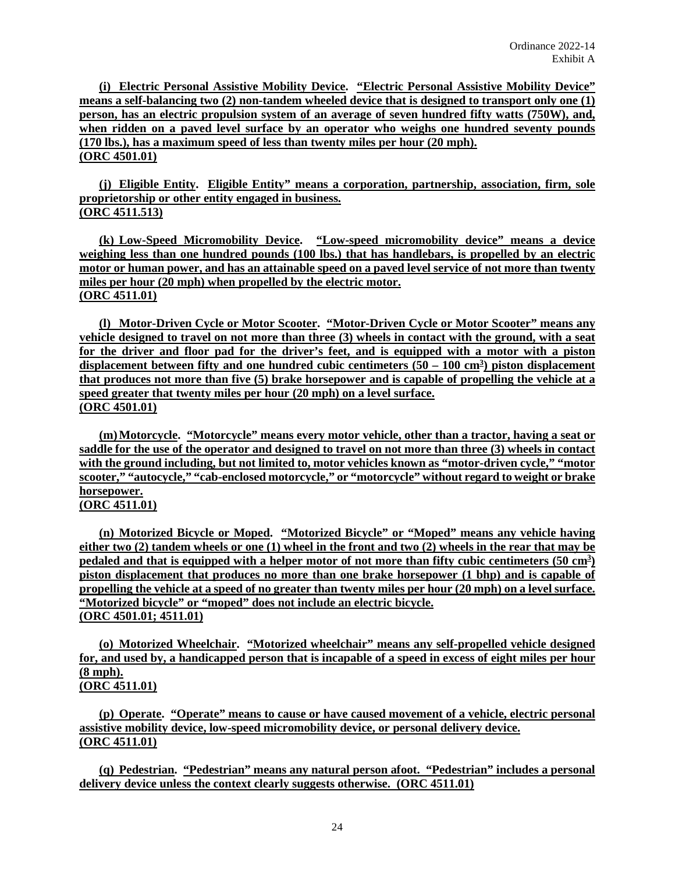**(i) Electric Personal Assistive Mobility Device. "Electric Personal Assistive Mobility Device" means a self-balancing two (2) non-tandem wheeled device that is designed to transport only one (1) person, has an electric propulsion system of an average of seven hundred fifty watts (750W), and, when ridden on a paved level surface by an operator who weighs one hundred seventy pounds (170 lbs.), has a maximum speed of less than twenty miles per hour (20 mph). (ORC 4501.01)**

**(j) Eligible Entity. Eligible Entity" means a corporation, partnership, association, firm, sole proprietorship or other entity engaged in business. (ORC 4511.513)**

**(k) Low-Speed Micromobility Device. "Low-speed micromobility device" means a device weighing less than one hundred pounds (100 lbs.) that has handlebars, is propelled by an electric motor or human power, and has an attainable speed on a paved level service of not more than twenty miles per hour (20 mph) when propelled by the electric motor. (ORC 4511.01)**

**(l) Motor-Driven Cycle or Motor Scooter. "Motor-Driven Cycle or Motor Scooter" means any vehicle designed to travel on not more than three (3) wheels in contact with the ground, with a seat for the driver and floor pad for the driver's feet, and is equipped with a motor with a piston displacement between fifty and one hundred cubic centimeters (50 – 100 cm3 ) piston displacement that produces not more than five (5) brake horsepower and is capable of propelling the vehicle at a speed greater that twenty miles per hour (20 mph) on a level surface. (ORC 4501.01)**

**(m)Motorcycle. "Motorcycle" means every motor vehicle, other than a tractor, having a seat or saddle for the use of the operator and designed to travel on not more than three (3) wheels in contact with the ground including, but not limited to, motor vehicles known as "motor-driven cycle," "motor scooter," "autocycle," "cab-enclosed motorcycle," or "motorcycle" without regard to weight or brake horsepower. (ORC 4511.01)**

**(n) Motorized Bicycle or Moped. "Motorized Bicycle" or "Moped" means any vehicle having either two (2) tandem wheels or one (1) wheel in the front and two (2) wheels in the rear that may be**  pedaled and that is equipped with a helper motor of not more than fifty cubic centimeters (50 cm<sup>3</sup>) **piston displacement that produces no more than one brake horsepower (1 bhp) and is capable of propelling the vehicle at a speed of no greater than twenty miles per hour (20 mph) on a level surface. "Motorized bicycle" or "moped" does not include an electric bicycle. (ORC 4501.01; 4511.01)**

**(o) Motorized Wheelchair. "Motorized wheelchair" means any self-propelled vehicle designed for, and used by, a handicapped person that is incapable of a speed in excess of eight miles per hour (8 mph). (ORC 4511.01)**

**(p) Operate. "Operate" means to cause or have caused movement of a vehicle, electric personal assistive mobility device, low-speed micromobility device, or personal delivery device. (ORC 4511.01)**

**(q) Pedestrian. "Pedestrian" means any natural person afoot. "Pedestrian" includes a personal delivery device unless the context clearly suggests otherwise. (ORC 4511.01)**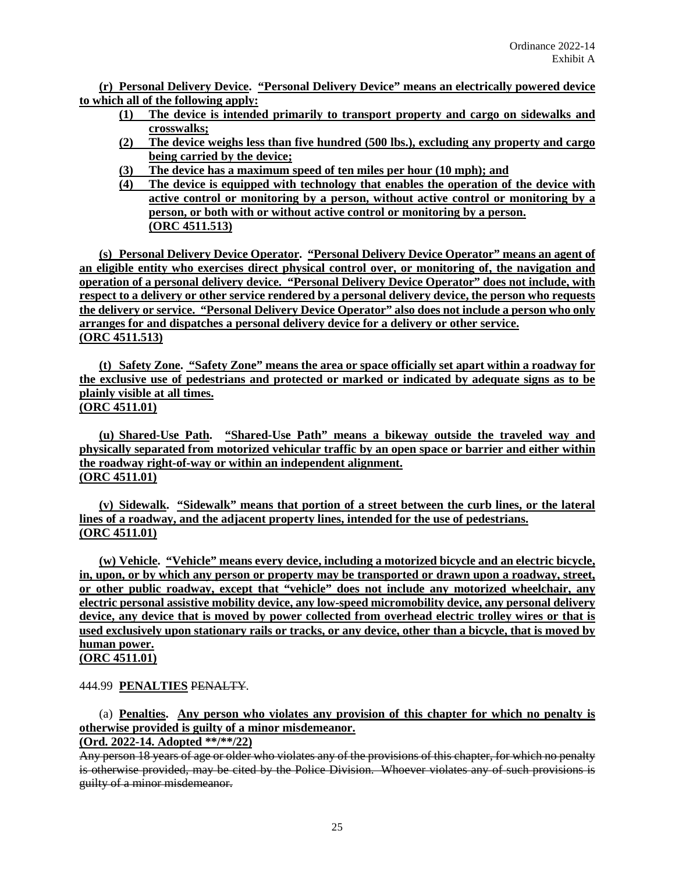**(r) Personal Delivery Device. "Personal Delivery Device" means an electrically powered device to which all of the following apply:**

- **(1) The device is intended primarily to transport property and cargo on sidewalks and crosswalks;**
- **(2) The device weighs less than five hundred (500 lbs.), excluding any property and cargo being carried by the device;**
- **(3) The device has a maximum speed of ten miles per hour (10 mph); and**
- **(4) The device is equipped with technology that enables the operation of the device with active control or monitoring by a person, without active control or monitoring by a person, or both with or without active control or monitoring by a person. (ORC 4511.513)**

**(s) Personal Delivery Device Operator. "Personal Delivery Device Operator" means an agent of an eligible entity who exercises direct physical control over, or monitoring of, the navigation and operation of a personal delivery device. "Personal Delivery Device Operator" does not include, with respect to a delivery or other service rendered by a personal delivery device, the person who requests the delivery or service. "Personal Delivery Device Operator" also does not include a person who only arranges for and dispatches a personal delivery device for a delivery or other service. (ORC 4511.513)**

**(t) Safety Zone. "Safety Zone" means the area or space officially set apart within a roadway for the exclusive use of pedestrians and protected or marked or indicated by adequate signs as to be plainly visible at all times.**

**(ORC 4511.01)**

**(u) Shared-Use Path. "Shared-Use Path" means a bikeway outside the traveled way and physically separated from motorized vehicular traffic by an open space or barrier and either within the roadway right-of-way or within an independent alignment. (ORC 4511.01)**

**(v) Sidewalk. "Sidewalk" means that portion of a street between the curb lines, or the lateral lines of a roadway, and the adjacent property lines, intended for the use of pedestrians. (ORC 4511.01)**

**(w) Vehicle. "Vehicle" means every device, including a motorized bicycle and an electric bicycle, in, upon, or by which any person or property may be transported or drawn upon a roadway, street, or other public roadway, except that "vehicle" does not include any motorized wheelchair, any electric personal assistive mobility device, any low-speed micromobility device, any personal delivery device, any device that is moved by power collected from overhead electric trolley wires or that is used exclusively upon stationary rails or tracks, or any device, other than a bicycle, that is moved by human power.**

**(ORC 4511.01)**

### 444.99 **PENALTIES** PENALTY.

(a) **Penalties. Any person who violates any provision of this chapter for which no penalty is otherwise provided is guilty of a minor misdemeanor.**

**(Ord. 2022-14. Adopted \*\*/\*\*/22)**

Any person 18 years of age or older who violates any of the provisions of this chapter, for which no penalty is otherwise provided, may be cited by the Police Division. Whoever violates any of such provisions is guilty of a minor misdemeanor.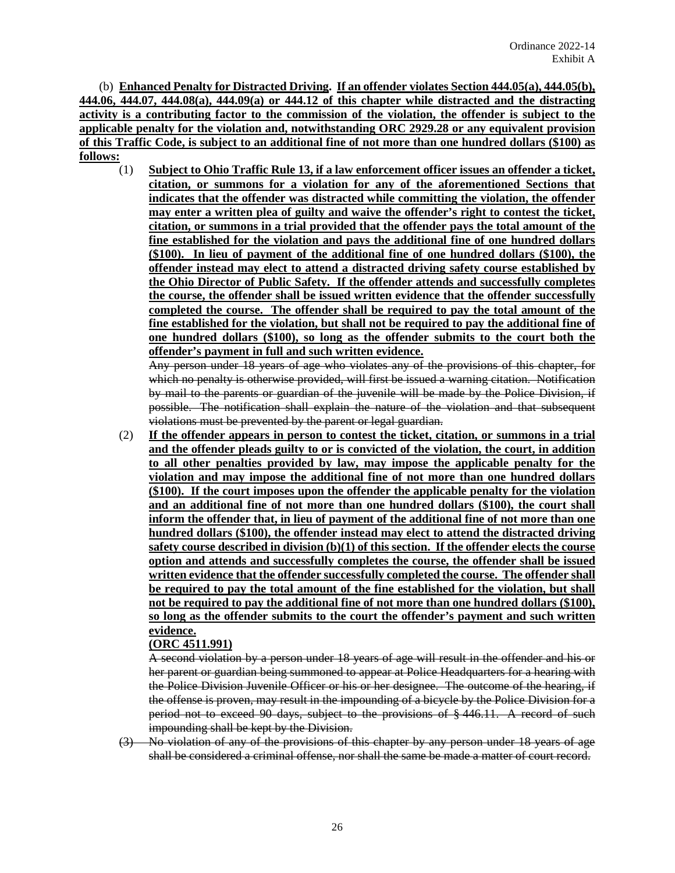(b) **Enhanced Penalty for Distracted Driving. If an offender violates Section 444.05(a), 444.05(b), 444.06, 444.07, 444.08(a), 444.09(a) or 444.12 of this chapter while distracted and the distracting activity is a contributing factor to the commission of the violation, the offender is subject to the applicable penalty for the violation and, notwithstanding ORC 2929.28 or any equivalent provision of this Traffic Code, is subject to an additional fine of not more than one hundred dollars (\$100) as**   $\frac{\text{follows:}}{(1)}$ 

Subject to Ohio Traffic Rule 13, if a law enforcement officer issues an offender a ticket, **citation, or summons for a violation for any of the aforementioned Sections that indicates that the offender was distracted while committing the violation, the offender may enter a written plea of guilty and waive the offender's right to contest the ticket, citation, or summons in a trial provided that the offender pays the total amount of the fine established for the violation and pays the additional fine of one hundred dollars (\$100). In lieu of payment of the additional fine of one hundred dollars (\$100), the offender instead may elect to attend a distracted driving safety course established by the Ohio Director of Public Safety. If the offender attends and successfully completes the course, the offender shall be issued written evidence that the offender successfully completed the course. The offender shall be required to pay the total amount of the fine established for the violation, but shall not be required to pay the additional fine of one hundred dollars (\$100), so long as the offender submits to the court both the offender's payment in full and such written evidence.**

Any person under 18 years of age who violates any of the provisions of this chapter, for which no penalty is otherwise provided, will first be issued a warning citation. Notification by mail to the parents or guardian of the juvenile will be made by the Police Division, if possible. The notification shall explain the nature of the violation and that subsequent violations must be prevented by the parent or legal guardian.

(2) **If the offender appears in person to contest the ticket, citation, or summons in a trial and the offender pleads guilty to or is convicted of the violation, the court, in addition to all other penalties provided by law, may impose the applicable penalty for the violation and may impose the additional fine of not more than one hundred dollars (\$100). If the court imposes upon the offender the applicable penalty for the violation and an additional fine of not more than one hundred dollars (\$100), the court shall inform the offender that, in lieu of payment of the additional fine of not more than one hundred dollars (\$100), the offender instead may elect to attend the distracted driving safety course described in division (b)(1) of this section. If the offender elects the course option and attends and successfully completes the course, the offender shall be issued written evidence that the offender successfully completed the course. The offender shall be required to pay the total amount of the fine established for the violation, but shall not be required to pay the additional fine of not more than one hundred dollars (\$100), so long as the offender submits to the court the offender's payment and such written evidence.**

### **(ORC 4511.991)**

A second violation by a person under 18 years of age will result in the offender and his or her parent or guardian being summoned to appear at Police Headquarters for a hearing with the Police Division Juvenile Officer or his or her designee. The outcome of the hearing, if the offense is proven, may result in the impounding of a bicycle by the Police Division for a period not to exceed 90 days, subject to the provisions of § 446.11. A record of such impounding shall be kept by the Division.

(3) No violation of any of the provisions of this chapter by any person under 18 years of age shall be considered a criminal offense, nor shall the same be made a matter of court record.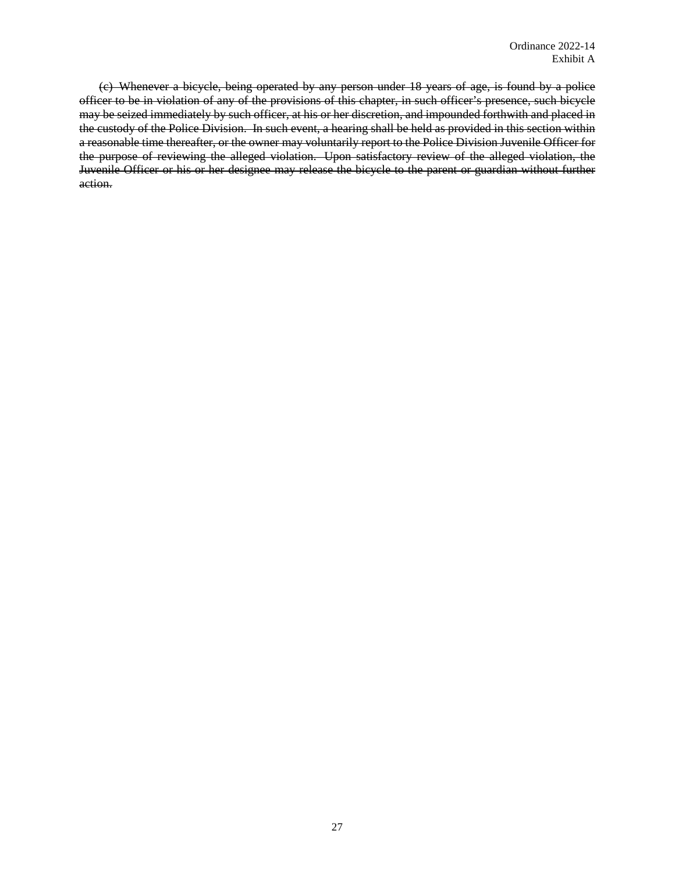(c) Whenever a bicycle, being operated by any person under 18 years of age, is found by a police officer to be in violation of any of the provisions of this chapter, in such officer's presence, such bicycle may be seized immediately by such officer, at his or her discretion, and impounded forthwith and placed in the custody of the Police Division. In such event, a hearing shall be held as provided in this section within a reasonable time thereafter, or the owner may voluntarily report to the Police Division Juvenile Officer for the purpose of reviewing the alleged violation. Upon satisfactory review of the alleged violation, the Juvenile Officer or his or her designee may release the bicycle to the parent or guardian without further action.